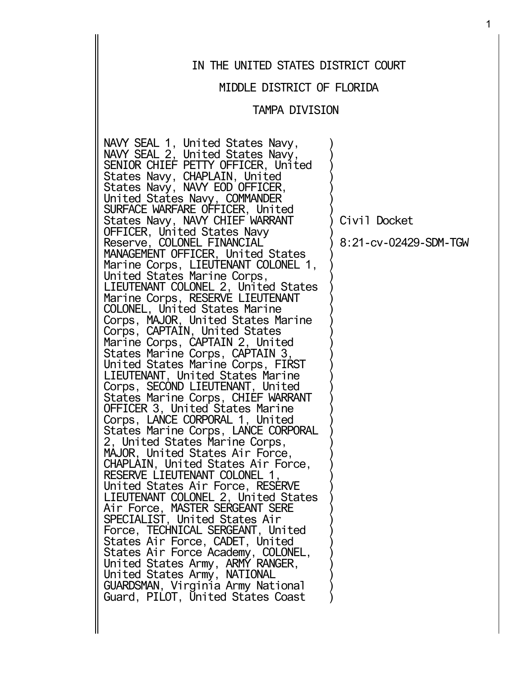## IN THE UNITED STATES DISTRICT COURT

### MIDDLE DISTRICT OF FLORIDA

### TAMPA DIVISION

)  $\left( \right)$  $\left( \right)$  $\left( \right)$  $\left( \right)$  $\left( \right)$  $\left( \right)$  $\left( \right)$  $\left( \right)$  $\left( \right)$  $\left( \right)$  $\left( \right)$  $\left( \right)$  $\left( \right)$  $\left( \right)$  $\left( \right)$  $\left( \right)$  $\left( \right)$  $\left( \right)$  $\left( \right)$  $\left( \right)$  $\left( \right)$  $\left( \right)$  $\left( \right)$  $\left( \right)$  $\left( \right)$  $\left( \right)$  $\left( \right)$  $\left( \right)$  $\left( \right)$  $\left( \right)$  $\left( \right)$  $\lambda$  $\left( \right)$  $\left( \right)$  $\left( \right)$  $\left( \right)$  $\left( \right)$  $\left( \right)$  $\left( \right)$  $\left( \right)$  $\lambda$ 

NAVY SEAL 1, United States Navy, NAVY SEAL 2, United States Navy, SENIOR CHIEF PETTY OFFICER, United States Navy, CHAPLAIN, United States Navy, NAVY EOD OFFICER, United States Navy, COMMANDER SURFACE WARFARE OFFICER, United States Navy, NAVY CHIEF WARRANT OFFICER, United States Navy Reserve, COLONEL FINANCIAL MANAGEMENT OFFICER, United States Marine Corps, LIEUTENANT COLONEL 1, United States Marine Corps, LIEUTENANT COLONEL 2, United States Marine Corps, RESERVE LIEUTENANT COLONEL, United States Marine Corps, MAJOR, United States Marine Corps, CAPTAIN, United States Marine Corps, CAPTAIN 2, United States Marine Corps, CAPTAIN 3, United States Marine Corps, FIRST LIEUTENANT, United States Marine Corps, SECOND LIEUTENANT, United States Marine Corps, CHIEF WARRANT OFFICER 3, United States Marine Corps, LANCE CORPORAL 1, United States Marine Corps, LANCE CORPORAL 2, United States Marine Corps, MAJOR, United States Air Force, CHAPLAIN, United States Air Force, RESERVE LIEUTENANT COLONEL 1, United States Air Force, RESERVE LIEUTENANT COLONEL 2, United States Air Force, MASTER SERGEANT SERE SPECIALIST, United States Air Force, TECHNICAL SERGEANT, United States Air Force, CADET, United States Air Force Academy, COLONEL, United States Army, ARMY RANGER, United States Army, NATIONAL GUARDSMAN, Virginia Army National Guard, PILOT, United States Coast

Civil Docket

8:21-cv-02429-SDM-TGW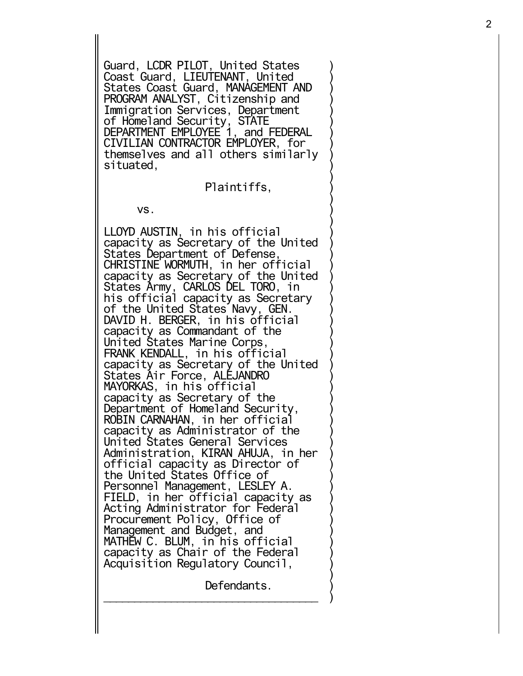Guard , LCDR PILOT , United States Coast Guard, LIEUTENANT, United States Coast Guard , MANAGEMENT AND PROGRAM ANALYST , Citizenship and Immigration Services , Department of Homeland Security , STATE DEPARTMENT EMPLOYEE 1 , and FEDERAL CIVILIAN CONTRACTOR EMPLOYER , for themselves and all others similarly situated ,

Plaintiffs ,

)))))))))))))))))))))))))))))))))))))))))))))))))

vs.

LLOYD AUSTIN , in his official capacity as Secretary of the United States Department of Defense , CHRISTINE WORMUTH , in her official capacity as Secretary of the United States Army , CARLOS DEL TORO , in his official capacity as Secretary of the United States Navy , GEN. DAVID H. BERGER , in his official capacity as Commandant of the United States Marine Corps , FRANK KENDALL , in his official capacity as Secretary of the United States Air Force , ALEJANDRO MAYORKAS , in his official capacity as Secretary of the Department of Homeland Security , ROBIN CARNAHAN , in her official capacity as Administrator of the United States General Services Administration , KIRAN AHUJA , in her official capacity as Director of the United States Office of Personnel Management , LESLEY A. FIELD , in her official capacity as Acting Administrator for Federal Procurement Policy , Office of Management and Budget , and MATHEW C. BLUM , in his official capacity as Chair of the Federal Acquisition Regulatory Council ,

Defendants.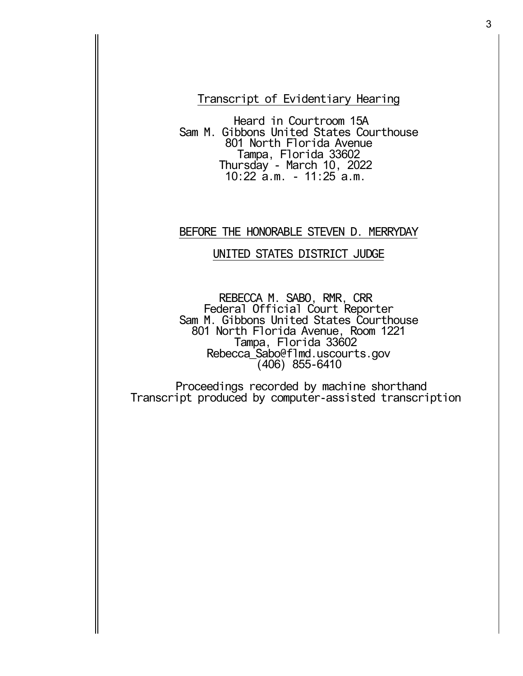Transcript of Evidentiary Hearing

Heard in Courtroom 15A Sam M. Gibbons United States Courthouse 801 North Florida Avenue Tampa, Florida 33602 Thursday - March 10, 2022 10:22 a.m. - 11:25 a.m.

## BEFORE THE HONORABLE STEVEN D. MERRYDAY

## UNITED STATES DISTRICT JUDGE

REBECCA M. SABO, RMR, CRR Federal Official Court Reporter Sam M. Gibbons United States Courthouse 801 North Florida Avenue, Room 1221 Tampa, Florida 33602 Rebecca\_Sabo@flmd.uscourts.gov (406) 855-6410

Proceedings recorded by machine shorthand Transcript produced by computer-assisted transcription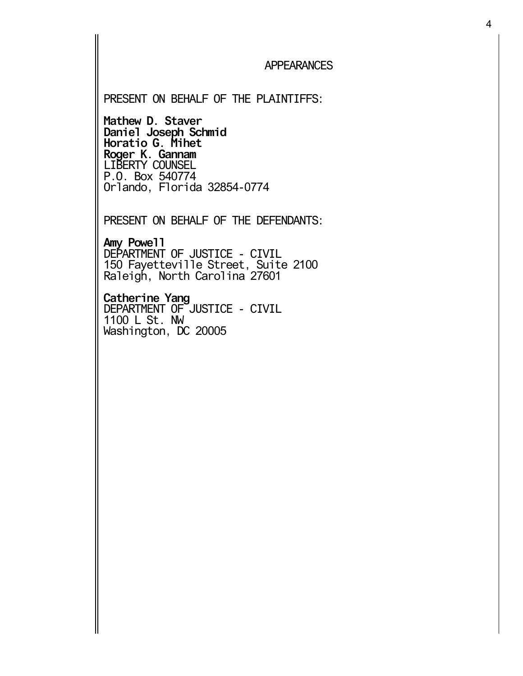## APPEARANCES

### PRESENT ON BEHALF OF THE PLAINTIFFS:

**Mathew D. Staver Daniel Joseph Schmid Horatio G. Mihet Roger K. Gannam** LIBERTY COUNSEL P.O. Box 540774 Orlando, Florida 32854-0774

PRESENT ON BEHALF OF THE DEFENDANTS:

**Amy Powell** DEPARTMENT OF JUSTICE - CIVIL 150 Fayetteville Street, Suite 2100 Raleigh, North Carolina 27601

**Catherine Yang** DEPARTMENT OF JUSTICE - CIVIL 1100 L St. NW Washington, DC 20005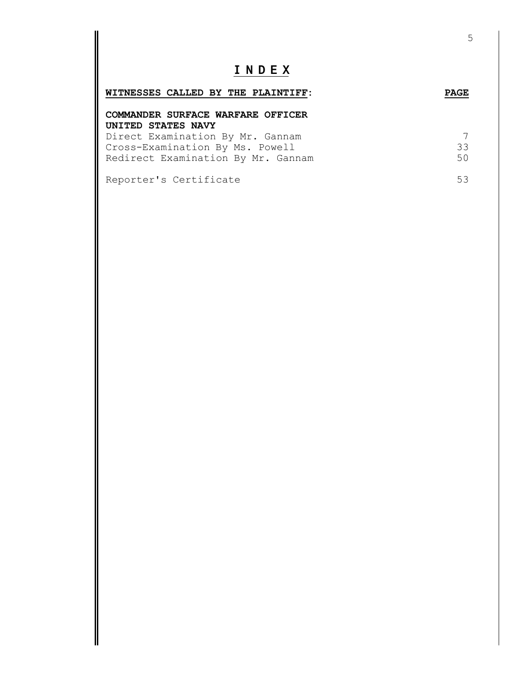# **I N D E X**

| WITNESSES CALLED BY THE PLAINTIFF: | <b>PAGE</b> |
|------------------------------------|-------------|
| COMMANDER SURFACE WARFARE OFFICER  |             |
| UNITED STATES NAVY                 |             |
| Direct Examination By Mr. Gannam   | 7           |
| Cross-Examination By Ms. Powell    | 33          |

| CIOSS EAGHLINGCION DY MS. FOWEII   | ر ر |
|------------------------------------|-----|
| Redirect Examination By Mr. Gannam |     |
|                                    |     |

Reporter's Certificate 53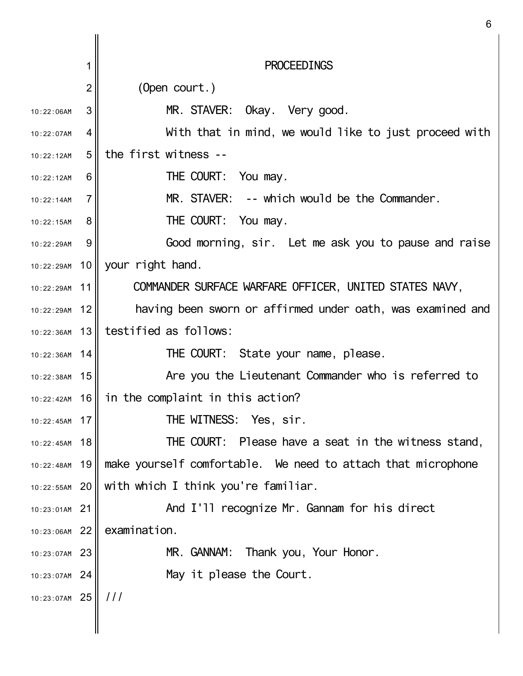|                 | 1               | <b>PROCEEDINGS</b>                                           |
|-----------------|-----------------|--------------------------------------------------------------|
|                 | $\overline{2}$  | (Open court.)                                                |
| 10:22:06AM      | 3               | MR. STAVER: Okay. Very good.                                 |
| 10:22:07AM      | 4               | With that in mind, we would like to just proceed with        |
| 10:22:12AM      | 5               | the first witness --                                         |
| 10:22:12AM      | 6               | THE COURT: You may.                                          |
| 10:22:14AM      | $\overline{7}$  | -- which would be the Commander.<br>MR. STAVER:              |
| 10:22:15AM      | 8               | THE COURT: You may.                                          |
| 10:22:29AM      | 9               | Good morning, sir. Let me ask you to pause and raise         |
|                 |                 | 10:22:29AM 10 your right hand.                               |
| 10:22:29AM      | 11              | COMMANDER SURFACE WARFARE OFFICER, UNITED STATES NAVY,       |
| 10:22:29AM      | 12              | having been sworn or affirmed under oath, was examined and   |
| 10:22:36AM      | 13              | testified as follows:                                        |
| 10:22:36AM 14   |                 | THE COURT: State your name, please.                          |
| $10:22:38AM$ 15 |                 | Are you the Lieutenant Commander who is referred to          |
| $10:22:42AM$ 16 |                 | in the complaint in this action?                             |
| 10:22:45AM      | 17 <sup>1</sup> | THE WITNESS: Yes, sir.                                       |
| 10:22:45AM      | 18              | THE COURT: Please have a seat in the witness stand,          |
| 10:22:48AM      | 19              | make yourself comfortable. We need to attach that microphone |
| 10:22:55AM 20   |                 | with which I think you're familiar.                          |
| 10:23:01AM      | 21              | And I'll recognize Mr. Gannam for his direct                 |
| 10:23:06AM      | 22              | examination.                                                 |
| 10:23:07AM      | 23              | Thank you, Your Honor.<br>MR. GANNAM:                        |
| 10:23:07AM      | 24              | May it please the Court.                                     |
| 10:23:07AM      | 25              | 111                                                          |
|                 |                 |                                                              |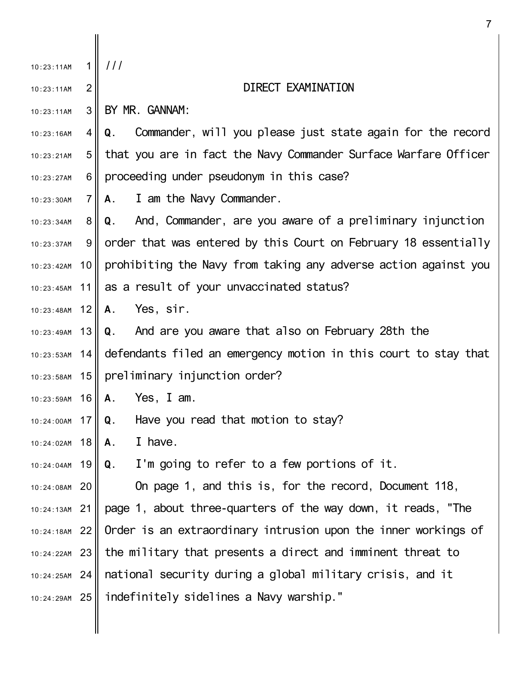| 10:23:11AM      |                | 111                                                              |
|-----------------|----------------|------------------------------------------------------------------|
| 10:23:11AM      | $\overline{2}$ | DIRECT EXAMINATION                                               |
| 10:23:11AM      | 3              | BY MR. GANNAM:                                                   |
| 10:23:16AM      | 4 II           | Commander, will you please just state again for the record<br>Q. |
| 10:23:21AM      | 5 <sup>1</sup> | that you are in fact the Navy Commander Surface Warfare Officer  |
| 10:23:27AM      | 6              | proceeding under pseudonym in this case?                         |
| 10:23:30AM      | 7 <sup>1</sup> | I am the Navy Commander.<br>A.                                   |
| 10:23:34AM      | 8              | Q. And, Commander, are you aware of a preliminary injunction     |
| 10:23:37AM      | 9              | order that was entered by this Court on February 18 essentially  |
| 10:23:42AM      | 10             | prohibiting the Navy from taking any adverse action against you  |
| 10:23:45AM      |                | 11 as a result of your unvaccinated status?                      |
| 10:23:48AM      | 12             | Yes, sir.<br>А.                                                  |
| 10:23:49AM      | 13             | Q. And are you aware that also on February 28th the              |
| 10:23:53AM 14   |                | defendants filed an emergency motion in this court to stay that  |
| 10:23:58AM      | 15             | preliminary injunction order?                                    |
| 10:23:59AM      | 16             | Yes, I am.<br>Α.                                                 |
| 10:24:00AM 17   |                | Have you read that motion to stay?<br>Q.                         |
| 10:24:02AM      | 18             | I have.<br>А.                                                    |
| 10:24:04AM      | 19             | I'm going to refer to a few portions of it.<br>Q.                |
| 10:24:08AM 20   |                | On page 1, and this is, for the record, Document 118,            |
| $10:24:13AM$ 21 |                | page 1, about three-quarters of the way down, it reads, "The     |
| 10:24:18AM 22   |                | Order is an extraordinary intrusion upon the inner workings of   |
| $10:24:22AM$ 23 |                | the military that presents a direct and imminent threat to       |
| 10:24:25AM 24   |                | national security during a global military crisis, and it        |
| 10:24:29AM 25   |                | indefinitely sidelines a Navy warship."                          |
|                 |                |                                                                  |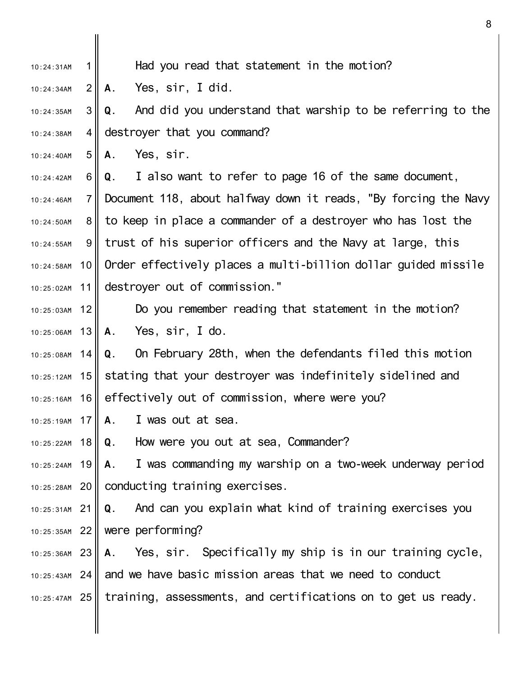- 1 10:24:31AM Had you read that statement in the motion?
- $2<sub>1</sub>$ 10:24:34AM **A.** Yes, sir, I did.

3 II 4 II 10:24:35AM 10:24:38AM **Q.** And did you understand that warship to be referring to the destroyer that you command?

5 10:24:40AM **A.** Yes, sir.

6 II 7 8 II 9 II 10 10:24:58AM 11 10:24:42AM  $10.24.46$ AM 10:24:50AM 10:24:55AM 10:25:02AM **Q.** I also want to refer to page 16 of the same document, Document 118, about halfway down it reads, "By forcing the Navy to keep in place a commander of a destroyer who has lost the trust of his superior officers and the Navy at large, this Order effectively places a multi-billion dollar guided missile destroyer out of commission."

12 10:25:03AM 13 10:25:06AM Do you remember reading that statement in the motion? **A.** Yes, sir, I do.

14 10:25:08AM 10:25:12AM 15 | stating that your destroyer was indefinitely sidelined and 16 10:25:16AM **Q.** On February 28th, when the defendants filed this motion effectively out of commission, where were you?

17 10:25:19AM **A.** I was out at sea.

18 10:25:22AM **Q.** How were you out at sea, Commander?

19 10:25:24AM 20 10:25:28AM **A.** I was commanding my warship on a two-week underway period conducting training exercises.

21 10:25:31AM 22 10:25:35AM **Q.** And can you explain what kind of training exercises you were performing?

23 10:25:36AM 24 10:25:43AM 25 10:25:47AM **A.** Yes, sir. Specifically my ship is in our training cycle, and we have basic mission areas that we need to conduct training, assessments, and certifications on to get us ready.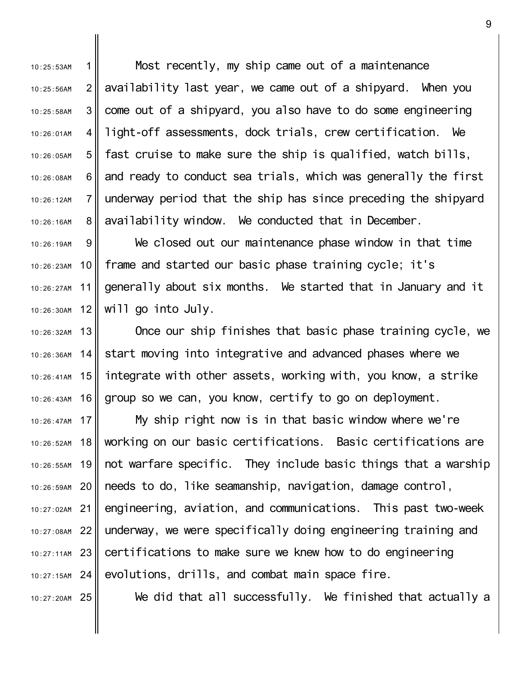1 2 3 4 5 6 7 8 10:25:53AM 10:25:56AM 10:25:58AM 10:26:01AM 10:26:05AM 10:26:08AM 10:26:12AM 10:26:16AM Most recently, my ship came out of a maintenance availability last year, we came out of a shipyard. When you come out of a shipyard, you also have to do some engineering light-off assessments, dock trials, crew certification. We fast cruise to make sure the ship is qualified, watch bills, and ready to conduct sea trials, which was generally the first underway period that the ship has since preceding the shipyard availability window. We conducted that in December.

9 10 11 12 10:26:19AM 10:26:23AM 10:26:27AM 10:26:30AM We closed out our maintenance phase window in that time frame and started our basic phase training cycle; it's generally about six months. We started that in January and it will go into July.

13 14 15 10:26:41AM 16 10:26:32AM 10:26:43AM Once our ship finishes that basic phase training cycle, we start moving into integrative and advanced phases where we integrate with other assets, working with, you know, a strike group so we can, you know, certify to go on deployment.

17 10:26:47AM 18 19 10:26:55AM 20 21 22 10:27:08AM 23 10:27:11AM 24 10:27:15AM 10:26:52AM 10:26:59AM 10:27:02AM My ship right now is in that basic window where we're working on our basic certifications. Basic certifications are not warfare specific. They include basic things that a warship needs to do, like seamanship, navigation, damage control, engineering, aviation, and communications. This past two-week underway, we were specifically doing engineering training and certifications to make sure we knew how to do engineering evolutions, drills, and combat main space fire.

25 10:27:20AM

10:26:36AM

We did that all successfully. We finished that actually a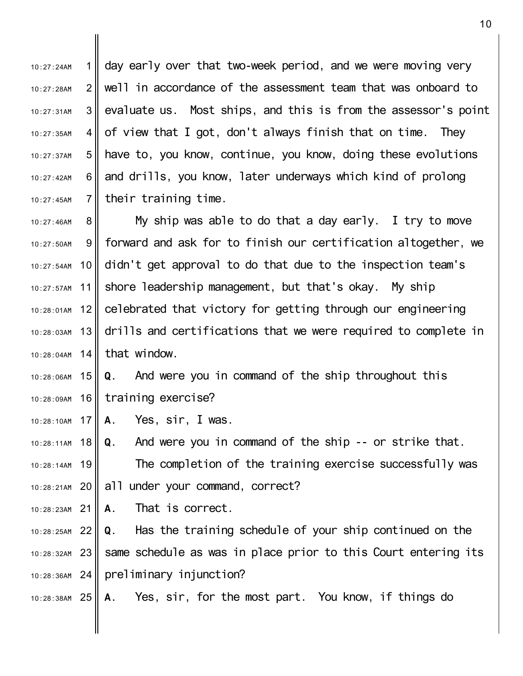1  $2<sub>1</sub>$ 3 II 4 II 5 6 II 7 10:27:24AM 10:27:28AM 10:27:31AM 10:27:35AM 10:27:37AM 10:27:42AM  $10.27.45$ AM day early over that two-week period, and we were moving very well in accordance of the assessment team that was onboard to evaluate us. Most ships, and this is from the assessor's point of view that I got, don't always finish that on time. They have to, you know, continue, you know, doing these evolutions and drills, you know, later underways which kind of prolong their training time.

8 9 10 11  $12$ 13 10:28:03AM  $10:28:04$ AM 14 that window. 10:27:46AM 10:27:50AM 10:27:54AM 10:27:57AM 10:28:01AM My ship was able to do that a day early. I try to move forward and ask for to finish our certification altogether, we didn't get approval to do that due to the inspection team's shore leadership management, but that's okay. My ship celebrated that victory for getting through our engineering drills and certifications that we were required to complete in

15 10:28:06AM 16 10:28:09AM **Q.** And were you in command of the ship throughout this training exercise?

17 10:28:10AM **A.** Yes, sir, I was.

18 10:28:11AM 19 10:28:14AM 20 10:28:21AM **Q.** And were you in command of the ship -- or strike that. The completion of the training exercise successfully was all under your command, correct?

21 10:28:23AM **A.** That is correct.

22 10:28:25AM 23 10:28:32AM 24 10:28:36AM **Q.** Has the training schedule of your ship continued on the same schedule as was in place prior to this Court entering its preliminary injunction?

25 10:28:38AM **A.** Yes, sir, for the most part. You know, if things do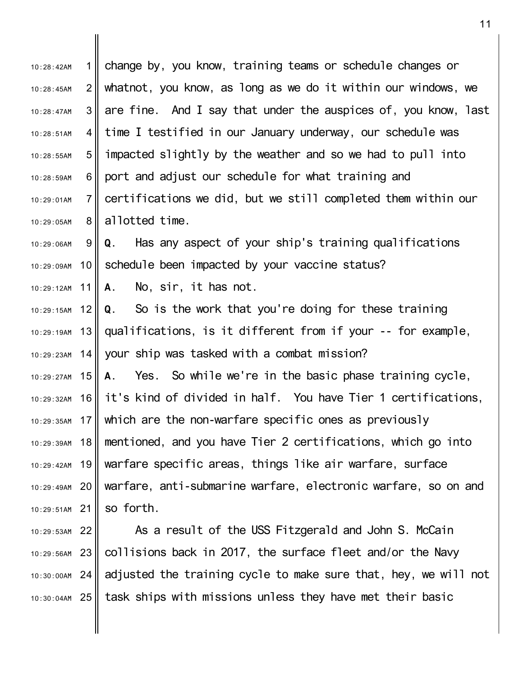1 II  $2<sub>l</sub>$ 3 4 I 5 6 II 7 8 II 9 10 11 12 13 14 $\parallel$ 10:29:27AM 15 16 17 18 19 10:29:42AM 20 10:29:49AM 21 10:29:51AM 22 10:29:53AM 10:28:42AM 10:28:45AM 10:28:47AM 10:28:51AM 10:28:55AM 10:28:59AM 10:29:01AM 10:29:05AM 10:29:06AM 10:29:09AM 10:29:12AM 10:29:15AM 10:29:19AM 10:29:23AM 10:29:32AM 10:29:35AM 10:29:39AM change by, you know, training teams or schedule changes or whatnot, you know, as long as we do it within our windows, we are fine. And I say that under the auspices of, you know, last time I testified in our January underway, our schedule was impacted slightly by the weather and so we had to pull into port and adjust our schedule for what training and certifications we did, but we still completed them within our allotted time. **Q.** Has any aspect of your ship's training qualifications schedule been impacted by your vaccine status? **A.** No, sir, it has not. **Q.** So is the work that you're doing for these training qualifications, is it different from if your -- for example, your ship was tasked with a combat mission? **A.** Yes. So while we're in the basic phase training cycle, it's kind of divided in half. You have Tier 1 certifications, which are the non-warfare specific ones as previously mentioned, and you have Tier 2 certifications, which go into warfare specific areas, things like air warfare, surface warfare, anti-submarine warfare, electronic warfare, so on and so forth. As a result of the USS Fitzgerald and John S. McCain

23 10:29:56AM 24 10:30:00AM 25 10:30:04AM collisions back in 2017, the surface fleet and/or the Navy adjusted the training cycle to make sure that, hey, we will not task ships with missions unless they have met their basic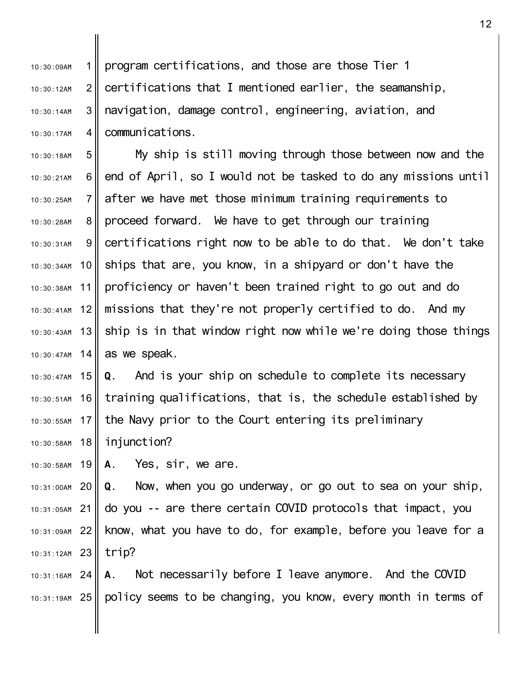1  $2<sub>l</sub>$ 3 4 10:30:09AM 10:30:12AM 10:30:14AM 10:30:17AM program certifications, and those are those Tier 1 certifications that I mentioned earlier, the seamanship, navigation, damage control, engineering, aviation, and communications.

5 6 II 7 8 9 10 11 12 13 10:30:43AM 10:30:47AM 14 10:30:18AM 10:30:21AM 10:30:25AM 10:30:28AM 10:30:31AM 10:30:34AM 10:30:38AM 10:30:41AM My ship is still moving through those between now and the end of April, so I would not be tasked to do any missions until after we have met those minimum training requirements to proceed forward. We have to get through our training certifications right now to be able to do that. We don't take ships that are, you know, in a shipyard or don't have the proficiency or haven't been trained right to go out and do missions that they're not properly certified to do. And my ship is in that window right now while we're doing those things as we speak.

10:30:47AM 15 16 10:30:51AM 17 10:30:55AM 18 10:30:58AM **Q.** And is your ship on schedule to complete its necessary training qualifications, that is, the schedule established by the Navy prior to the Court entering its preliminary injunction?

19 10:30:58AM **A.** Yes, sir, we are.

20 10:31:00AM 21 10:31:05AM 22 10:31:09AM 23 10:31:12AM **Q.** Now, when you go underway, or go out to sea on your ship, do you -- are there certain COVID protocols that impact, you know, what you have to do, for example, before you leave for a trip?

24 10:31:16AM 25 10:31:19AM **A.** Not necessarily before I leave anymore. And the COVID policy seems to be changing, you know, every month in terms of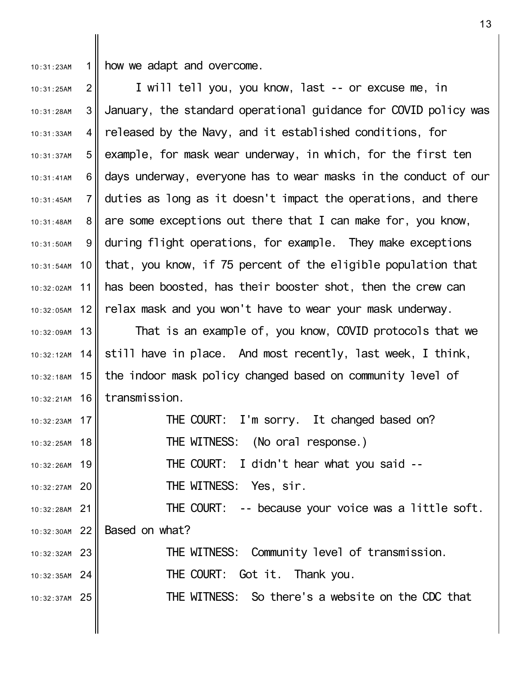1 II 10:31:23AM

how we adapt and overcome.

 $2<sub>1</sub>$ 3 4 II 5 6 II 7 8 9 10 10:31:54AM 11 12 10:31:25AM 10:31:28AM 10:31:33AM 10:31:37AM 10:31:41AM  $10:31:45AM$ 10:31:48AM 10:31:50AM 10:32:02AM 10:32:05AM I will tell you, you know, last -- or excuse me, in January, the standard operational guidance for COVID policy was released by the Navy, and it established conditions, for example, for mask wear underway, in which, for the first ten days underway, everyone has to wear masks in the conduct of our duties as long as it doesn't impact the operations, and there are some exceptions out there that I can make for, you know, during flight operations, for example. They make exceptions that, you know, if 75 percent of the eligible population that has been boosted, has their booster shot, then the crew can relax mask and you won't have to wear your mask underway.

13 10:32:09AM 14 10:32:18AM 15 16 10:32:21AM 10:32:12AM That is an example of, you know, COVID protocols that we still have in place. And most recently, last week, I think, the indoor mask policy changed based on community level of transmission.

17 10:32:23AM 18 10:32:25AM 19 10:32:26AM 20 10:32:27AM 21 10:32:28AM 22 10:32:30AM 23 10:32:32AM 24 10:32:35AM 25 10:32:37AM THE COURT: I'm sorry. It changed based on? THE WITNESS: (No oral response.) THE COURT: I didn't hear what you said -- THE WITNESS: Yes, sir. THE COURT: -- because your voice was a little soft. Based on what? THE WITNESS: Community level of transmission. THE COURT: Got it. Thank you. THE WITNESS: So there's a website on the CDC that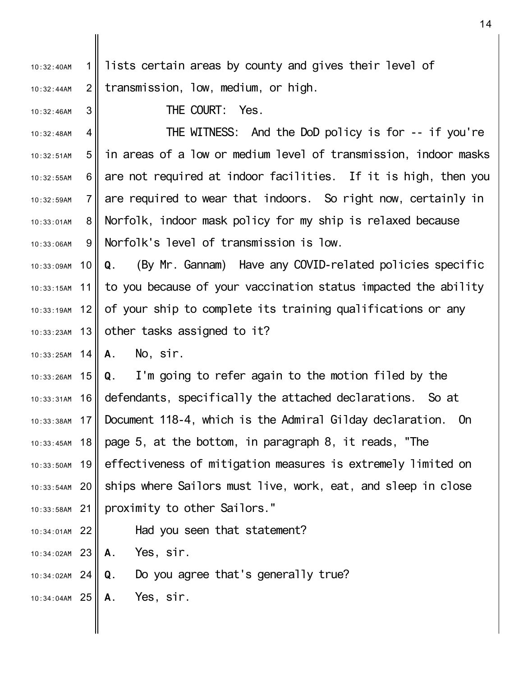| 10:32:40AM                 | 1 <sup>1</sup> | lists certain areas by county and gives their level of                           |
|----------------------------|----------------|----------------------------------------------------------------------------------|
| 10:32:44AM                 | 2              | transmission, low, medium, or high.                                              |
| 10:32:46AM                 | 3              | THE COURT: Yes.                                                                  |
| 10:32:48AM                 | 4              | THE WITNESS: And the DoD policy is for -- if you're                              |
| 10:32:51AM                 | 5 <sup>1</sup> | in areas of a low or medium level of transmission, indoor masks                  |
| 10:32:55AM                 | $6 \mid$       | are not required at indoor facilities. If it is high, then you                   |
| 10:32:59AM                 | 7 <sup>1</sup> | are required to wear that indoors. So right now, certainly in                    |
| 10:33:01AM                 | 8              | Norfolk, indoor mask policy for my ship is relaxed because                       |
| 10:33:06AM                 | 9              | Norfolk's level of transmission is low.                                          |
| 10:33:09AM                 | 10 II          | Q. (By Mr. Gannam) Have any COVID-related policies specific                      |
|                            |                | 10:33:15AM 11   to you because of your vaccination status impacted the ability   |
|                            |                | 10:33:19AM 12   of your ship to complete its training qualifications or any      |
| 10:33:23AM                 | 13             | other tasks assigned to it?                                                      |
| 10:33:25AM $14$ <b>A</b> . |                | No, sir.                                                                         |
|                            |                | $10:33:26$ AM 15    Q. I'm going to refer again to the motion filed by the       |
| 10:33:31AM                 | 16             | defendants, specifically the attached declarations. So at                        |
| 10:33:38AM                 |                | 17    Document 118-4, which is the Admiral Gilday declaration.<br>0 <sub>n</sub> |
| 10:33:45AM                 | 18             | page 5, at the bottom, in paragraph 8, it reads, "The                            |
| 10:33:50AM                 | 19             | effectiveness of mitigation measures is extremely limited on                     |
| $10:33:54AM$ 20            |                | ships where Sailors must live, work, eat, and sleep in close                     |
| $10:33:58$ AM              | 21             | proximity to other Sailors."                                                     |
| 10:34:01AM                 | 22             | Had you seen that statement?                                                     |
| $10:34:02AM$ 23            |                | Yes, sir.<br>А.                                                                  |

- 24 10:34:02AM **Q.** Do you agree that's generally true?
- 25 10:34:04AM **A.** Yes, sir.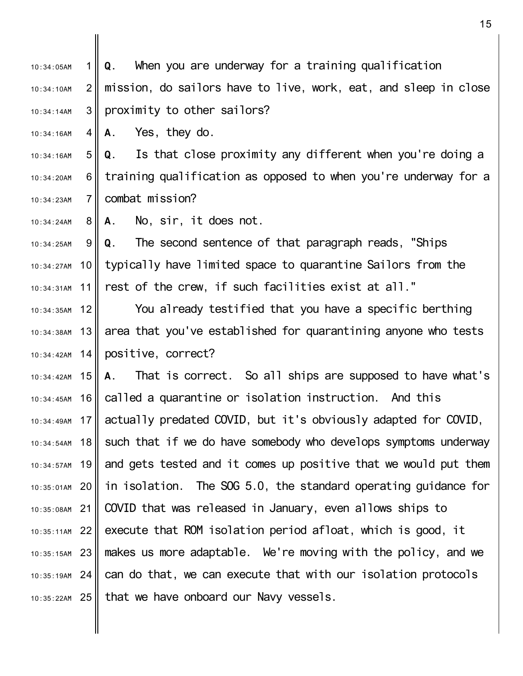1 II  $2<sub>1</sub>$ 3 10:34:05AM 10:34:10AM 10:34:14AM **Q.** When you are underway for a training qualification mission, do sailors have to live, work, eat, and sleep in close proximity to other sailors?

4 10:34:16AM **A.** Yes, they do.

5 6 II 7 10:34:16AM 10:34:20AM 10:34:23AM **Q.** Is that close proximity any different when you're doing a training qualification as opposed to when you're underway for a combat mission?

8 10:34:24AM **A.** No, sir, it does not.

9 10 11 10:34:25AM 10:34:27AM 10:34:31AM **Q.** The second sentence of that paragraph reads, "Ships typically have limited space to quarantine Sailors from the rest of the crew, if such facilities exist at all."

12 13 10:34:38AM 14 $\parallel$ 10:34:35AM 10:34:42AM You already testified that you have a specific berthing area that you've established for quarantining anyone who tests positive, correct?

10:34:42AM 15 16 17 10:34:49AM 18 10:34:54AM 19 10:34:57AM 20 10:35:01AM 21 10:35:08AM 22 10:35:11AM 23 10:35:15AM 24 10:35:19AM 25 10:35:22AM 10:34:45AM **A.** That is correct. So all ships are supposed to have what's called a quarantine or isolation instruction. And this actually predated COVID, but it's obviously adapted for COVID, such that if we do have somebody who develops symptoms underway and gets tested and it comes up positive that we would put them in isolation. The SOG 5.0, the standard operating guidance for COVID that was released in January, even allows ships to execute that ROM isolation period afloat, which is good, it makes us more adaptable. We're moving with the policy, and we can do that, we can execute that with our isolation protocols that we have onboard our Navy vessels.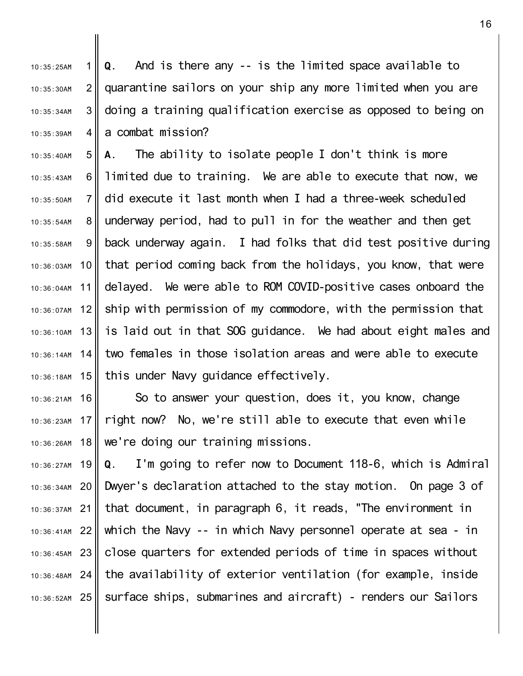1  $2<sub>1</sub>$ 3 4 I 10:35:25AM 10:35:30AM 10:35:34AM 10:35:39AM **Q.** And is there any -- is the limited space available to quarantine sailors on your ship any more limited when you are doing a training qualification exercise as opposed to being on a combat mission?

5 6 II 7 8 9 10 11 12 13 14 $\parallel$ 10:36:18AM 15 10:35:40AM 10:35:43AM  $10.35:50$ AM 10:35:54AM 10:35:58AM 10:36:03AM 10:36:04AM 10:36:07AM 10:36:10AM 10:36:14AM **A.** The ability to isolate people I don't think is more limited due to training. We are able to execute that now, we did execute it last month when I had a three-week scheduled underway period, had to pull in for the weather and then get back underway again. I had folks that did test positive during that period coming back from the holidays, you know, that were delayed. We were able to ROM COVID-positive cases onboard the ship with permission of my commodore, with the permission that is laid out in that SOG guidance. We had about eight males and two females in those isolation areas and were able to execute this under Navy guidance effectively.

16 17 10:36:23AM 18 10:36:21AM 10:36:26AM So to answer your question, does it, you know, change right now? No, we're still able to execute that even while we're doing our training missions.

19 10:36:27AM 20 10:36:34AM 21 10:36:37AM 22 10:36:41AM 23 10:36:45AM 24 10:36:48AM 25 10:36:52AM **Q.** I'm going to refer now to Document 118-6, which is Admiral Dwyer's declaration attached to the stay motion. On page 3 of that document, in paragraph 6, it reads, "The environment in which the Navy -- in which Navy personnel operate at sea - in close quarters for extended periods of time in spaces without the availability of exterior ventilation (for example, inside surface ships, submarines and aircraft) - renders our Sailors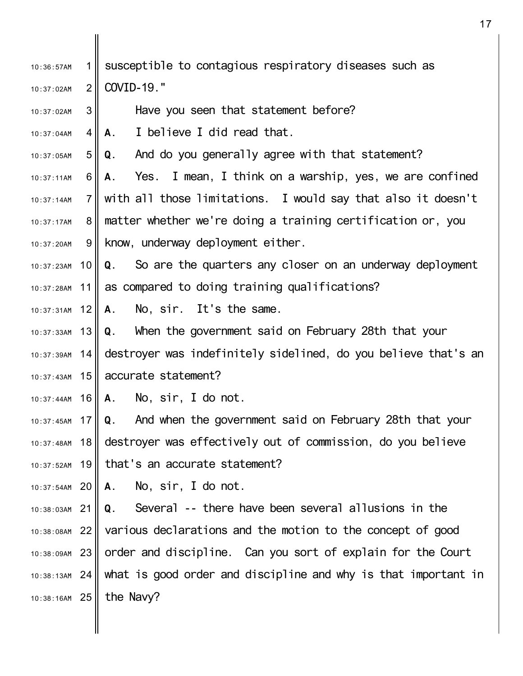| 10:36:57AM      | 1              | susceptible to contagious respiratory diseases such as             |
|-----------------|----------------|--------------------------------------------------------------------|
| 10:37:02AM      | $\overline{2}$ | COVID-19."                                                         |
| 10:37:02AM      | 3              | Have you seen that statement before?                               |
| 10:37:04AM      | 4 <sup>1</sup> | I believe I did read that.<br>A.                                   |
| 10:37:05AM      | 5              | And do you generally agree with that statement?<br>Q.              |
| 10:37:11AM      | 6              | Yes. I mean, I think on a warship, yes, we are confined<br>А.      |
| 10:37:14AM      | $\overline{7}$ | with all those limitations. I would say that also it doesn't       |
| 10:37:17AM      | 8              | matter whether we're doing a training certification or, you        |
| 10:37:20AM      | 9              | know, underway deployment either.                                  |
| $10:37:23$ AM   | 10 I           | <b>Q.</b> So are the quarters any closer on an underway deployment |
| 10:37:28AM 11   |                | as compared to doing training qualifications?                      |
| $10:37:31AM$ 12 |                | No, sir. It's the same.<br>А.                                      |
| $10:37:33AM$ 13 |                | Q. When the government said on February 28th that your             |
| $10:37:39AM$ 14 |                | destroyer was indefinitely sidelined, do you believe that's an     |
| $10:37:43AM$ 15 |                | accurate statement?                                                |
| $10:37:44AM$ 16 |                | No, sir, I do not.<br>А.                                           |
| 10:37:45AM 17   |                | And when the government said on February 28th that your<br>Q.      |
| 10:37:48AM      | 18             | destroyer was effectively out of commission, do you believe        |
| $10:37:52AM$ 19 |                | that's an accurate statement?                                      |
| 10:37:54AM 20   |                | No, sir, I do not.<br><b>A.</b>                                    |
| $10:38:03AM$ 21 |                | <b>Q</b> . Several -- there have been several allusions in the     |
| $10:38:08AM$ 22 |                | various declarations and the motion to the concept of good         |
| $10:38:09AM$ 23 |                | order and discipline. Can you sort of explain for the Court        |
| $10:38:13AM$ 24 |                | what is good order and discipline and why is that important in     |
| $10:38:16AM$ 25 |                | the Navy?                                                          |
|                 |                |                                                                    |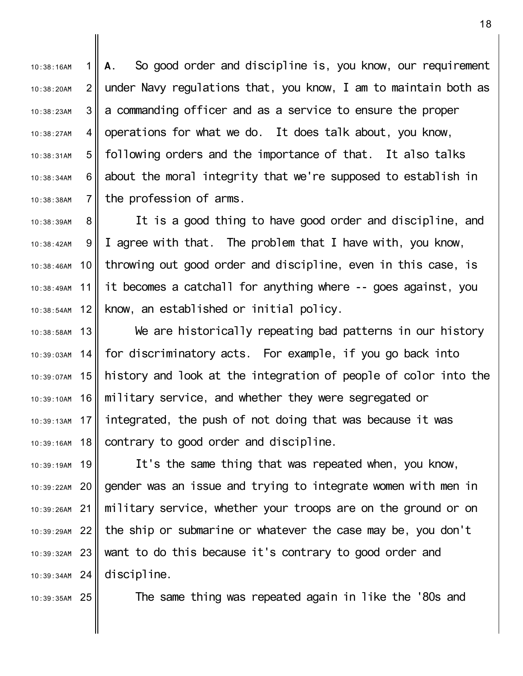1 II  $2<sub>l</sub>$ 3 4 5 6 II 7 10:38:16AM 10:38:20AM 10:38:23AM 10:38:27AM 10:38:31AM 10:38:34AM 10:38:38AM **A.** So good order and discipline is, you know, our requirement under Navy regulations that, you know, I am to maintain both as a commanding officer and as a service to ensure the proper operations for what we do. It does talk about, you know, following orders and the importance of that. It also talks about the moral integrity that we're supposed to establish in the profession of arms.

8 9 10 11 12 10:38:39AM 10:38:42AM 10:38:46AM 10:38:49AM 10:38:54AM It is a good thing to have good order and discipline, and I agree with that. The problem that I have with, you know, throwing out good order and discipline, even in this case, is it becomes a catchall for anything where -- goes against, you know, an established or initial policy.

13 14 10:39:07AM 15 16 17 10:39:13AM 18 10:38:58AM 10:39:03AM 10:39:10AM 10:39:16AM We are historically repeating bad patterns in our history for discriminatory acts. For example, if you go back into history and look at the integration of people of color into the military service, and whether they were segregated or integrated, the push of not doing that was because it was contrary to good order and discipline.

19 10:39:19AM 20 21 22 10:39:29AM 23 10:39:32AM 24 10:39:34AM 10:39:22AM It's the same thing that was repeated when, you know, gender was an issue and trying to integrate women with men in military service, whether your troops are on the ground or on the ship or submarine or whatever the case may be, you don't want to do this because it's contrary to good order and discipline.

25 10:39:35AM

10:39:26AM

The same thing was repeated again in like the '80s and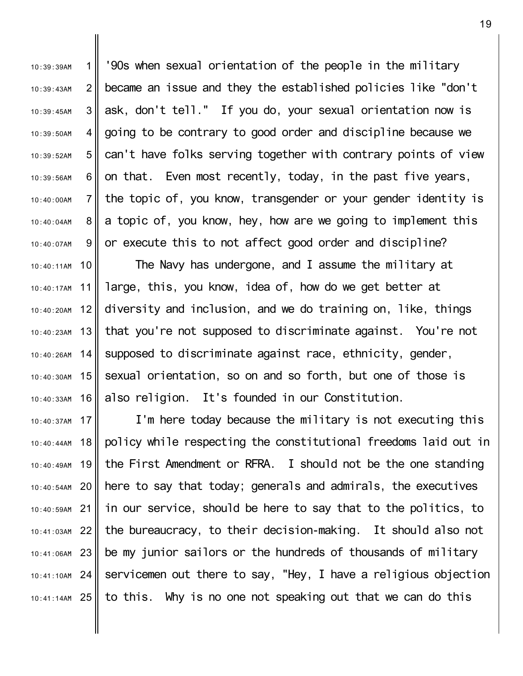1  $2<sub>1</sub>$ 3 4 5 6 II 7 8 9 10:39:39AM 10:39:43AM 10:39:45AM 10:39:50AM 10:39:52AM 10:39:56AM  $10 \cdot 40 \cdot 00$ AM 10:40:04AM 10:40:07AM '90s when sexual orientation of the people in the military became an issue and they the established policies like "don't ask, don't tell." If you do, your sexual orientation now is going to be contrary to good order and discipline because we can't have folks serving together with contrary points of view on that. Even most recently, today, in the past five years, the topic of, you know, transgender or your gender identity is a topic of, you know, hey, how are we going to implement this or execute this to not affect good order and discipline?

10 10:40:11AM 11 12 13 14  $15$ 16 The Navy has undergone, and I assume the military at large, this, you know, idea of, how do we get better at diversity and inclusion, and we do training on, like, things that you're not supposed to discriminate against. You're not supposed to discriminate against race, ethnicity, gender, sexual orientation, so on and so forth, but one of those is also religion. It's founded in our Constitution.

10:40:17AM

10:40:20AM

10:40:23AM

 $10.40.26$ AM

10:40:30AM

10:40:33AM

17 10:40:37AM 18 19 10:40:49AM 20 10:40:54AM 21 22 10:41:03AM 23 10:41:06AM 24 10:41:10AM 25 10:41:14AM 10:40:44AM  $10 \cdot 40 \cdot 59$ AM I'm here today because the military is not executing this policy while respecting the constitutional freedoms laid out in the First Amendment or RFRA. I should not be the one standing here to say that today; generals and admirals, the executives in our service, should be here to say that to the politics, to the bureaucracy, to their decision-making. It should also not be my junior sailors or the hundreds of thousands of military servicemen out there to say, "Hey, I have a religious objection to this. Why is no one not speaking out that we can do this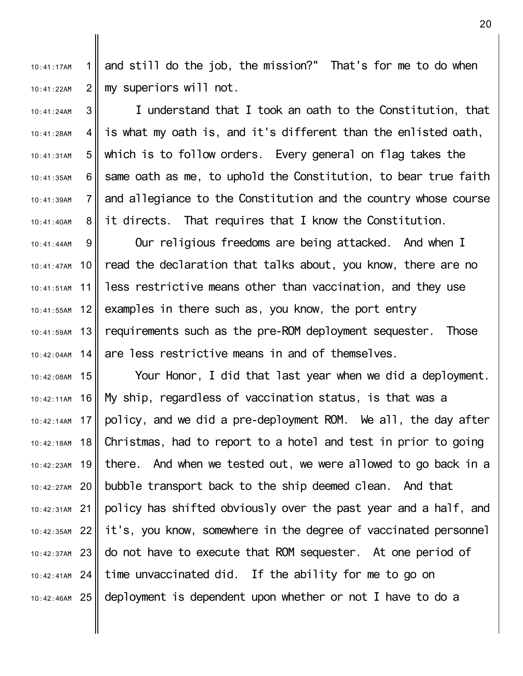1 II  $2<sub>l</sub>$ 10:41:17AM 10:41:22AM and still do the job, the mission?" That's for me to do when my superiors will not.

3 4 5 6 7 8 10:41:24AM 10:41:28AM 10:41:31AM 10:41:35AM 10:41:39AM 10:41:40AM I understand that I took an oath to the Constitution, that is what my oath is, and it's different than the enlisted oath, which is to follow orders. Every general on flag takes the same oath as me, to uphold the Constitution, to bear true faith and allegiance to the Constitution and the country whose course it directs. That requires that I know the Constitution.

9 10 11 12 13 14 10:41:44AM 10:41:47AM 10:41:51AM 10:41:55AM 10:41:59AM  $10 \cdot 42 \cdot 04$ AM Our religious freedoms are being attacked. And when I read the declaration that talks about, you know, there are no less restrictive means other than vaccination, and they use examples in there such as, you know, the port entry requirements such as the pre-ROM deployment sequester. Those are less restrictive means in and of themselves.

10:42:08AM 15 16 10:42:11AM 17 10:42:14AM 18 19 10:42:23AM 20 10:42:27AM 21 10:42:31AM 22 10:42:35AM 23 10:42:37AM 24 10:42:41AM 25 10:42:46AM 10:42:18AM Your Honor, I did that last year when we did a deployment. My ship, regardless of vaccination status, is that was a policy, and we did a pre-deployment ROM. We all, the day after Christmas, had to report to a hotel and test in prior to going there. And when we tested out, we were allowed to go back in a bubble transport back to the ship deemed clean. And that policy has shifted obviously over the past year and a half, and it's, you know, somewhere in the degree of vaccinated personnel do not have to execute that ROM sequester. At one period of time unvaccinated did. If the ability for me to go on deployment is dependent upon whether or not I have to do a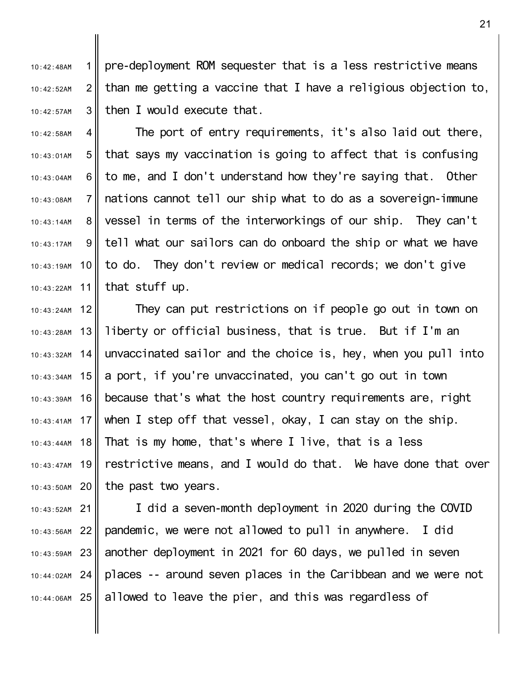1  $2<sub>1</sub>$ 3 10:42:48AM 10:42:52AM 10:42:57AM pre-deployment ROM sequester that is a less restrictive means than me getting a vaccine that I have a religious objection to, then I would execute that.

4 5 6 II 7 8 9 10 11 10:42:58AM 10:43:01AM 10:43:04AM 10:43:08AM 10:43:14AM 10:43:17AM 10:43:19AM 10:43:22AM The port of entry requirements, it's also laid out there, that says my vaccination is going to affect that is confusing to me, and I don't understand how they're saying that. Other nations cannot tell our ship what to do as a sovereign-immune vessel in terms of the interworkings of our ship. They can't tell what our sailors can do onboard the ship or what we have to do. They don't review or medical records; we don't give that stuff up.

12 13  $14$ 10:43:34AM 15 16 17 10:43:41AM 18 10:43:44AM 19 10:43:47AM 20 10:43:50AM 10:43:24AM 10:43:28AM 10:43:32AM 10:43:39AM They can put restrictions on if people go out in town on liberty or official business, that is true. But if I'm an unvaccinated sailor and the choice is, hey, when you pull into a port, if you're unvaccinated, you can't go out in town because that's what the host country requirements are, right when I step off that vessel, okay, I can stay on the ship. That is my home, that's where I live, that is a less restrictive means, and I would do that. We have done that over the past two years.

21 10:43:52AM 22 10:43:56AM 23 10:43:59AM 24 10:44:02AM 25 10:44:06AM I did a seven-month deployment in 2020 during the COVID pandemic, we were not allowed to pull in anywhere. I did another deployment in 2021 for 60 days, we pulled in seven places -- around seven places in the Caribbean and we were not allowed to leave the pier, and this was regardless of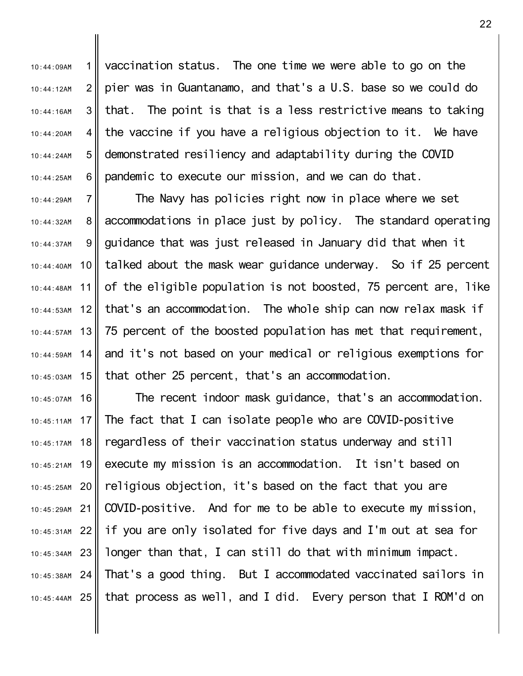1  $2<sub>l</sub>$ 3 4 5 6 10:44:09AM 10:44:12AM 10:44:16AM 10:44:20AM 10:44:24AM 10:44:25AM vaccination status. The one time we were able to go on the pier was in Guantanamo, and that's a U.S. base so we could do that. The point is that is a less restrictive means to taking the vaccine if you have a religious objection to it. We have demonstrated resiliency and adaptability during the COVID pandemic to execute our mission, and we can do that.

7 8 9 10 11 12 13 14 15  $10.44.29$ AM 10:44:32AM 10:44:37AM 10:44:40AM 10:44:48AM 10:44:53AM 10:44:57AM  $10.44.59$ AM 10:45:03AM The Navy has policies right now in place where we set accommodations in place just by policy. The standard operating guidance that was just released in January did that when it talked about the mask wear guidance underway. So if 25 percent of the eligible population is not boosted, 75 percent are, like that's an accommodation. The whole ship can now relax mask if 75 percent of the boosted population has met that requirement, and it's not based on your medical or religious exemptions for that other 25 percent, that's an accommodation.

16 17 10:45:11AM 18 19 10:45:21AM 20 10:45:25AM 21 10:45:29AM 22 10:45:31AM 23 10:45:34AM 24 10:45:38AM 25 10:45:44AM 10:45:07AM 10:45:17AM The recent indoor mask guidance, that's an accommodation. The fact that I can isolate people who are COVID-positive regardless of their vaccination status underway and still execute my mission is an accommodation. It isn't based on religious objection, it's based on the fact that you are COVID-positive. And for me to be able to execute my mission, if you are only isolated for five days and I'm out at sea for longer than that, I can still do that with minimum impact. That's a good thing. But I accommodated vaccinated sailors in that process as well, and I did. Every person that I ROM'd on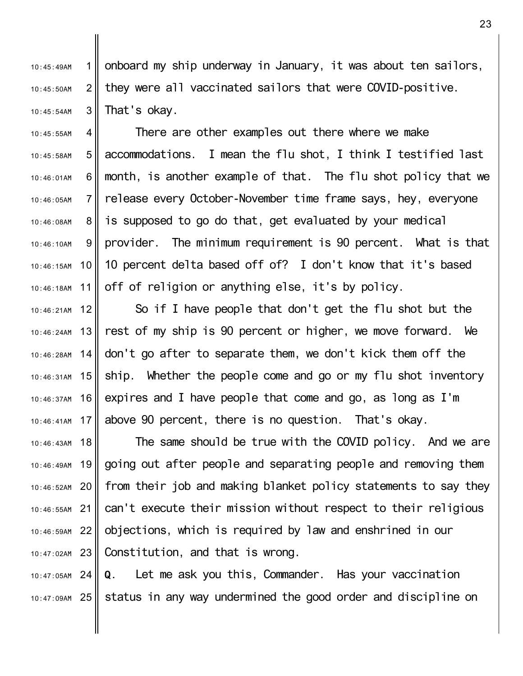1  $2<sub>l</sub>$ 3 10:45:49AM 10:45:50AM 10:45:54AM onboard my ship underway in January, it was about ten sailors, they were all vaccinated sailors that were COVID-positive. That's okay.

4 5 6 II 7 8 9 10 11 10:45:55AM 10:45:58AM 10:46:01AM  $10.46.05$ AM 10:46:08AM 10:46:10AM 10:46:15AM 10:46:18AM There are other examples out there where we make accommodations. I mean the flu shot, I think I testified last month, is another example of that. The flu shot policy that we release every October-November time frame says, hey, everyone is supposed to go do that, get evaluated by your medical provider. The minimum requirement is 90 percent. What is that 10 percent delta based off of? I don't know that it's based off of religion or anything else, it's by policy.

12 13 14 15 10:46:31AM 16 10:46:37AM 17 10:46:41AM 10:46:21AM 10:46:24AM 10:46:28AM So if I have people that don't get the flu shot but the rest of my ship is 90 percent or higher, we move forward. We don't go after to separate them, we don't kick them off the ship. Whether the people come and go or my flu shot inventory expires and I have people that come and go, as long as I'm above 90 percent, there is no question. That's okay.

18 19 10:46:49AM 20 10:46:52AM 21 10:46:55AM 22 10:46:59AM 23 10:47:02AM 10:46:43AM The same should be true with the COVID policy. And we are going out after people and separating people and removing them from their job and making blanket policy statements to say they can't execute their mission without respect to their religious objections, which is required by law and enshrined in our Constitution, and that is wrong.

24 10:47:05AM 25 10:47:09AM **Q.** Let me ask you this, Commander. Has your vaccination status in any way undermined the good order and discipline on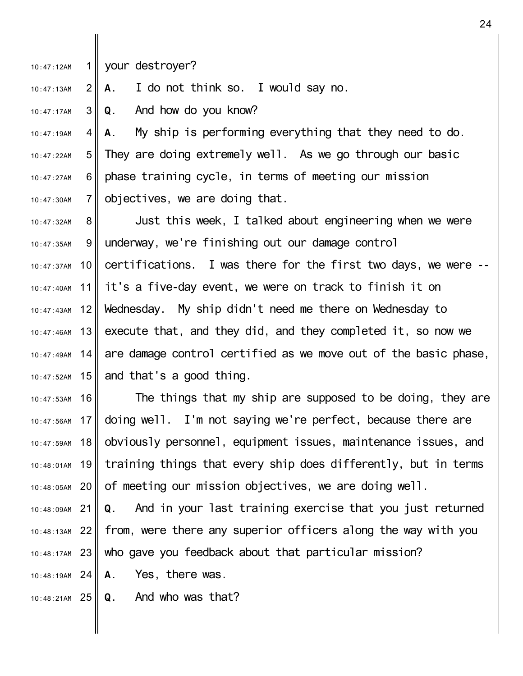1 10:47:12AM your destroyer?

 $2<sub>1</sub>$ 10:47:13AM **A.** I do not think so. I would say no.

3 II 10:47:17AM **Q.** And how do you know?

4 5 6 II 7 10:47:19AM 10:47:22AM 10:47:27AM 10:47:30AM **A.** My ship is performing everything that they need to do. They are doing extremely well. As we go through our basic phase training cycle, in terms of meeting our mission objectives, we are doing that.

8 9 10 11 12 13 $\parallel$  $14$ 15 $\parallel$ 10:47:32AM 10:47:35AM 10:47:37AM 10:47:40AM 10:47:43AM 10:47:46AM  $10.47.49$ AM 10:47:52AM Just this week, I talked about engineering when we were underway, we're finishing out our damage control certifications. I was there for the first two days, we were - it's a five-day event, we were on track to finish it on Wednesday. My ship didn't need me there on Wednesday to execute that, and they did, and they completed it, so now we are damage control certified as we move out of the basic phase, and that's a good thing.

16 17 18 19 10:48:01AM 20 10:47:53AM 10:47:56AM 10:47:59AM 10:48:05AM The things that my ship are supposed to be doing, they are doing well. I'm not saying we're perfect, because there are obviously personnel, equipment issues, maintenance issues, and training things that every ship does differently, but in terms of meeting our mission objectives, we are doing well.

21 10:48:09AM 22 10:48:13AM 23 10:48:17AM **Q.** And in your last training exercise that you just returned from, were there any superior officers along the way with you who gave you feedback about that particular mission?

24 10:48:19AM **A.** Yes, there was.

25 10:48:21AM **Q.** And who was that?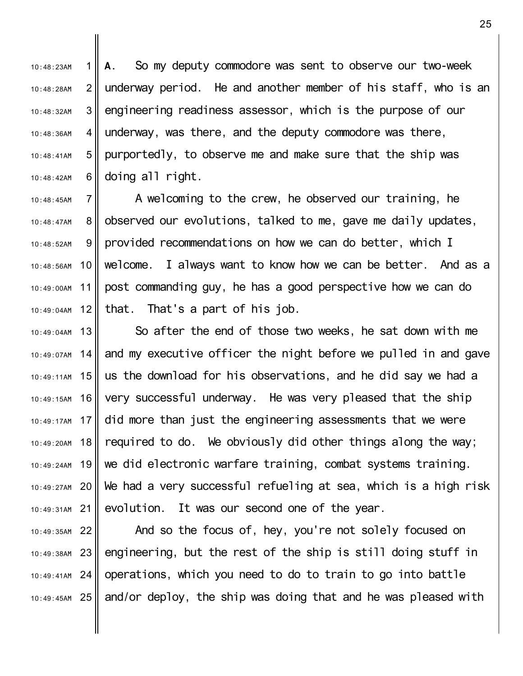1 II  $2<sub>1</sub>$ 3 4 5 6 II 10:48:23AM 10:48:28AM 10:48:32AM 10:48:36AM 10:48:41AM 10:48:42AM **A.** So my deputy commodore was sent to observe our two-week underway period. He and another member of his staff, who is an engineering readiness assessor, which is the purpose of our underway, was there, and the deputy commodore was there, purportedly, to observe me and make sure that the ship was doing all right.

7 8 9 10 11 12  $10.48.45$ AM 10:48:47AM 10:48:52AM 10:48:56AM 10:49:00AM 10:49:04AM A welcoming to the crew, he observed our training, he observed our evolutions, talked to me, gave me daily updates, provided recommendations on how we can do better, which I welcome. I always want to know how we can be better. And as a post commanding guy, he has a good perspective how we can do that. That's a part of his job.

13 10:49:04AM 14 10:49:11AM 15 16 10:49:17AM 17 18 19 10:49:24AM 20 10:49:27AM 21 10:49:31AM 10:49:07AM 10:49:15AM 10:49:20AM So after the end of those two weeks, he sat down with me and my executive officer the night before we pulled in and gave us the download for his observations, and he did say we had a very successful underway. He was very pleased that the ship did more than just the engineering assessments that we were required to do. We obviously did other things along the way; we did electronic warfare training, combat systems training. We had a very successful refueling at sea, which is a high risk evolution. It was our second one of the year.

22 10:49:35AM 23 10:49:38AM 24 10:49:41AM 25 10:49:45AM And so the focus of, hey, you're not solely focused on engineering, but the rest of the ship is still doing stuff in operations, which you need to do to train to go into battle and/or deploy, the ship was doing that and he was pleased with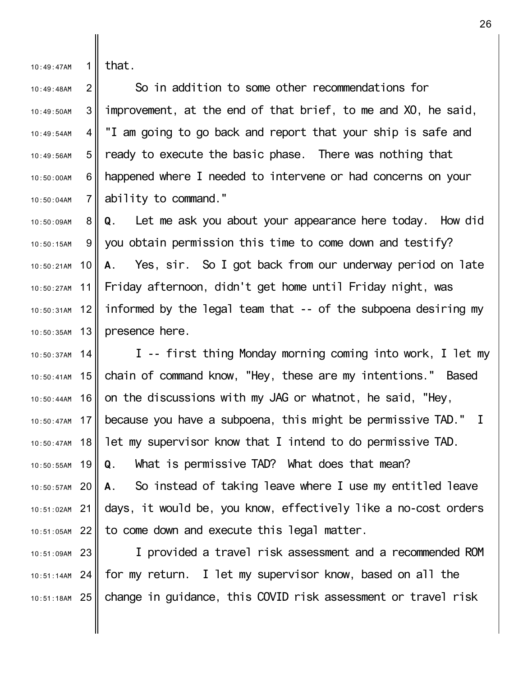1 10:49:47AM that.

22 10:51:05AM

2 3 4 5 6 II 7 10:49:48AM 10:49:50AM 10:49:54AM 10:49:56AM 10:50:00AM  $10:50:04$ AM So in addition to some other recommendations for improvement, at the end of that brief, to me and XO, he said, "I am going to go back and report that your ship is safe and ready to execute the basic phase. There was nothing that happened where I needed to intervene or had concerns on your ability to command."

8 9 10 10:50:21AM 11 12 13 10:50:35AM 10:50:09AM 10:50:15AM 10:50:27AM 10:50:31AM **Q.** Let me ask you about your appearance here today. How did you obtain permission this time to come down and testify? **A.** Yes, sir. So I got back from our underway period on late Friday afternoon, didn't get home until Friday night, was informed by the legal team that -- of the subpoena desiring my presence here.

14 10:50:37AM 10:50:41AM 15 16 10:50:44AM 17 10:50:47AM 18 10:50:47AM 19 10:50:55AM 20 10:50:57AM 21 10:51:02AM I -- first thing Monday morning coming into work, I let my chain of command know, "Hey, these are my intentions." Based on the discussions with my JAG or whatnot, he said, "Hey, because you have a subpoena, this might be permissive TAD." I let my supervisor know that I intend to do permissive TAD. **Q.** What is permissive TAD? What does that mean? **A.** So instead of taking leave where I use my entitled leave days, it would be, you know, effectively like a no-cost orders

23 10:51:09AM 24 10:51:14AM 25 10:51:18AM I provided a travel risk assessment and a recommended ROM for my return. I let my supervisor know, based on all the change in guidance, this COVID risk assessment or travel risk

to come down and execute this legal matter.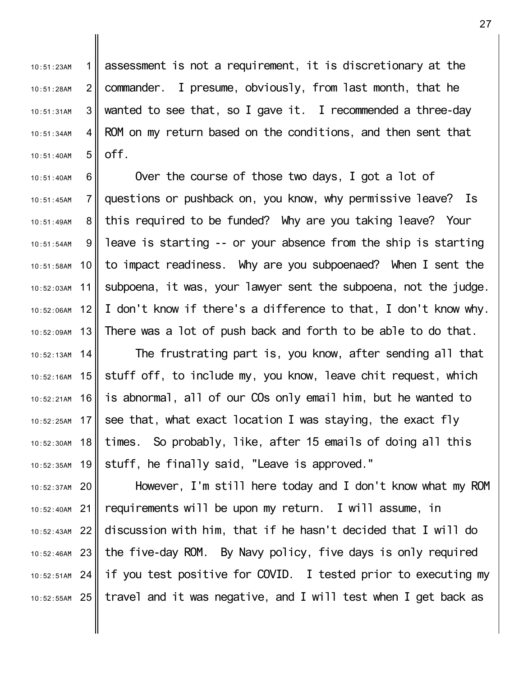1 II  $2<sub>l</sub>$ 3 4 5 10:51:23AM 10:51:28AM 10:51:31AM 10:51:34AM 10:51:40AM assessment is not a requirement, it is discretionary at the commander. I presume, obviously, from last month, that he wanted to see that, so I gave it. I recommended a three-day ROM on my return based on the conditions, and then sent that off.

6 7 8 9 10 11 12 13 14 10:52:16AM 15 16 17 18 19 10:52:35AM 10:51:40AM  $10:51:45AM$ 10:51:49AM 10:51:54AM 10:51:58AM 10:52:03AM 10:52:06AM 10:52:09AM  $10.52 \cdot 13$ AM 10:52:21AM 10:52:25AM 10:52:30AM Over the course of those two days, I got a lot of questions or pushback on, you know, why permissive leave? Is this required to be funded? Why are you taking leave? Your leave is starting -- or your absence from the ship is starting to impact readiness. Why are you subpoenaed? When I sent the subpoena, it was, your lawyer sent the subpoena, not the judge. I don't know if there's a difference to that, I don't know why. There was a lot of push back and forth to be able to do that. The frustrating part is, you know, after sending all that stuff off, to include my, you know, leave chit request, which is abnormal, all of our COs only email him, but he wanted to see that, what exact location I was staying, the exact fly times. So probably, like, after 15 emails of doing all this stuff, he finally said, "Leave is approved."

20 10:52:37AM 21 10:52:40AM 22 10:52:43AM 23 10:52:46AM 24 10:52:51AM 25 10:52:55AM However, I'm still here today and I don't know what my ROM requirements will be upon my return. I will assume, in discussion with him, that if he hasn't decided that I will do the five-day ROM. By Navy policy, five days is only required if you test positive for COVID. I tested prior to executing my travel and it was negative, and I will test when I get back as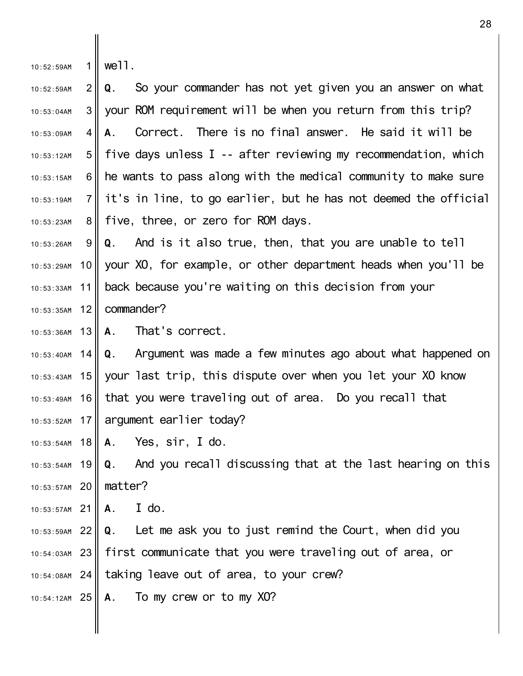| 10:52:59AM |  | $1$ well. |  |
|------------|--|-----------|--|
|------------|--|-----------|--|

║

 $2<sup>||</sup>$ 3 II 4 5 6 II 7 8 II 10:52:59AM 10:53:04AM 10:53:09AM 10:53:12AM 10:53:15AM  $10.53.19$ AM 10:53:23AM **Q.** So your commander has not yet given you an answer on what your ROM requirement will be when you return from this trip? **A.** Correct. There is no final answer. He said it will be five days unless I -- after reviewing my recommendation, which he wants to pass along with the medical community to make sure it's in line, to go earlier, but he has not deemed the official five, three, or zero for ROM days.

9 10 11  $12$ 10:53:26AM 10:53:29AM 10:53:33AM 10:53:35AM **Q.** And is it also true, then, that you are unable to tell your XO, for example, or other department heads when you'll be back because you're waiting on this decision from your commander?

13 10:53:36AM **A.** That's correct.

14 10:53:43AM 15 16 17 10:53:52AM  $10.53 \cdot 40$ AM 10:53:49AM **Q.** Argument was made a few minutes ago about what happened on your last trip, this dispute over when you let your XO know that you were traveling out of area. Do you recall that argument earlier today?

18 10:53:54AM **A.** Yes, sir, I do.

19 10:53:54AM 20 10:53:57AM **Q.** And you recall discussing that at the last hearing on this matter?

21 10:53:57AM **A.** I do.

22 10:53:59AM 23 10:54:03AM 24 10:54:08AM **Q.** Let me ask you to just remind the Court, when did you first communicate that you were traveling out of area, or taking leave out of area, to your crew?

25 10:54:12AM **A.** To my crew or to my XO?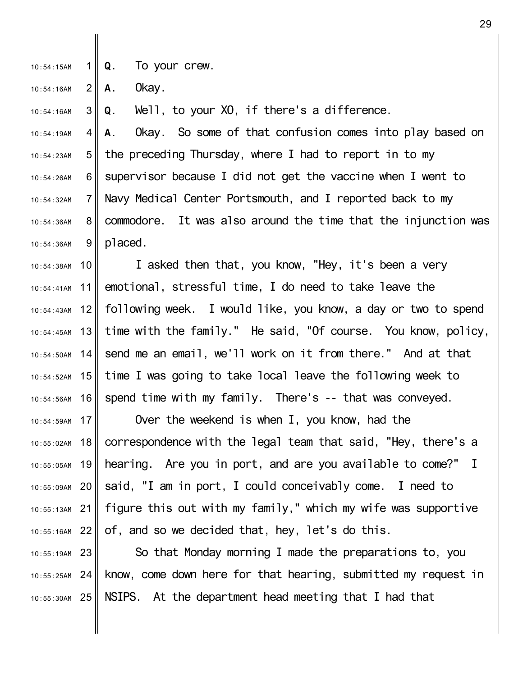1 10:54:15AM **Q.** To your crew.

 $2<sub>1</sub>$ 10:54:16AM **A.** Okay.

10:54:41AM

10:54:43AM

10:54:45AM

 $10:54:50AM$ 

10:54:56AM

10:54:59AM

10:55:02AM

3 II 10:54:16AM **Q.** Well, to your XO, if there's a difference.

4 5 6 II 7 8 9 10:54:19AM 10:54:23AM 10:54:26AM 10:54:32AM 10:54:36AM 10:54:36AM **A.** Okay. So some of that confusion comes into play based on the preceding Thursday, where I had to report in to my supervisor because I did not get the vaccine when I went to Navy Medical Center Portsmouth, and I reported back to my commodore. It was also around the time that the injunction was placed.

10 10:54:38AM 11 12 13  $14$ 10:54:52AM 15 16 I asked then that, you know, "Hey, it's been a very emotional, stressful time, I do need to take leave the following week. I would like, you know, a day or two to spend time with the family." He said, "Of course. You know, policy, send me an email, we'll work on it from there." And at that time I was going to take local leave the following week to spend time with my family. There's -- that was conveyed.

17 18 19 10:55:05AM 20 10:55:09AM 21 10:55:13AM 22 10:55:16AM Over the weekend is when I, you know, had the correspondence with the legal team that said, "Hey, there's a hearing. Are you in port, and are you available to come?" I said, "I am in port, I could conceivably come. I need to figure this out with my family," which my wife was supportive of, and so we decided that, hey, let's do this.

23 10:55:19AM 24 10:55:25AM 25 10:55:30AM So that Monday morning I made the preparations to, you know, come down here for that hearing, submitted my request in NSIPS. At the department head meeting that I had that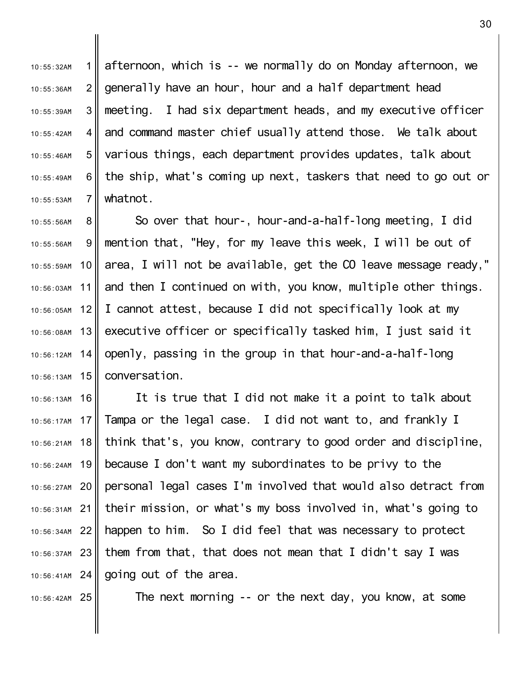1 II  $2<sub>1</sub>$ 3 4 5 6 II 7 10:55:32AM 10:55:36AM 10:55:39AM 10:55:42AM 10:55:46AM 10:55:49AM  $10.55:53AM$ afternoon, which is -- we normally do on Monday afternoon, we generally have an hour, hour and a half department head meeting. I had six department heads, and my executive officer and command master chief usually attend those. We talk about various things, each department provides updates, talk about the ship, what's coming up next, taskers that need to go out or whatnot.

8 9 10 11 12 13 14 10:56:13AM 15 10:55:56AM 10:55:56AM 10:55:59AM 10:56:03AM 10:56:05AM 10:56:08AM 10:56:12AM So over that hour-, hour-and-a-half-long meeting, I did mention that, "Hey, for my leave this week, I will be out of area, I will not be available, get the CO leave message ready," and then I continued on with, you know, multiple other things. I cannot attest, because I did not specifically look at my executive officer or specifically tasked him, I just said it openly, passing in the group in that hour-and-a-half-long conversation.

16 10:56:13AM 10:56:17AM 17 18 10:56:21AM 19 10:56:24AM 20 10:56:27AM 21 10:56:31AM 22 10:56:34AM 23 10:56:37AM 24 10:56:41AM It is true that I did not make it a point to talk about Tampa or the legal case. I did not want to, and frankly I think that's, you know, contrary to good order and discipline, because I don't want my subordinates to be privy to the personal legal cases I'm involved that would also detract from their mission, or what's my boss involved in, what's going to happen to him. So I did feel that was necessary to protect them from that, that does not mean that I didn't say I was going out of the area.

25 10:56:42AM

The next morning -- or the next day, you know, at some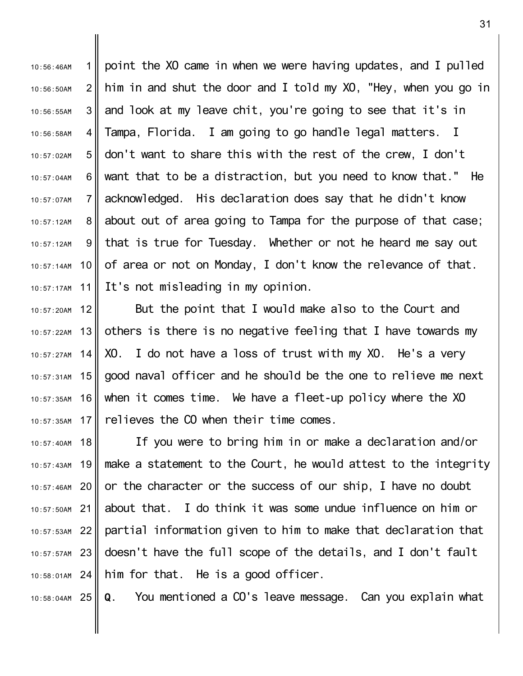1  $2<sub>l</sub>$ 3 4 5 6 II 7 8 9 10 11 10:56:46AM 10:56:50AM 10:56:55AM 10:56:58AM 10:57:02AM 10:57:04AM 10:57:07AM 10:57:12AM 10:57:12AM 10:57:14AM 10:57:17AM point the XO came in when we were having updates, and I pulled him in and shut the door and I told my XO, "Hey, when you go in and look at my leave chit, you're going to see that it's in Tampa, Florida. I am going to go handle legal matters. I don't want to share this with the rest of the crew, I don't want that to be a distraction, but you need to know that." He acknowledged. His declaration does say that he didn't know about out of area going to Tampa for the purpose of that case; that is true for Tuesday. Whether or not he heard me say out of area or not on Monday, I don't know the relevance of that. It's not misleading in my opinion.

12 13 14 15 16 17 10:57:20AM 10:57:22AM  $10.57.27$ AM 10:57:31AM 10:57:35AM 10:57:35AM But the point that I would make also to the Court and others is there is no negative feeling that I have towards my XO. I do not have a loss of trust with my XO. He's a very good naval officer and he should be the one to relieve me next when it comes time. We have a fleet-up policy where the XO relieves the CO when their time comes.

18 19 10:57:43AM 20 10:57:46AM 21 10:57:50AM 22 10:57:53AM 23 10:57:57AM 24 10:58:01AM 10:57:40AM If you were to bring him in or make a declaration and/or make a statement to the Court, he would attest to the integrity or the character or the success of our ship, I have no doubt about that. I do think it was some undue influence on him or partial information given to him to make that declaration that doesn't have the full scope of the details, and I don't fault him for that. He is a good officer.

25 10:58:04AM **Q.** You mentioned a CO's leave message. Can you explain what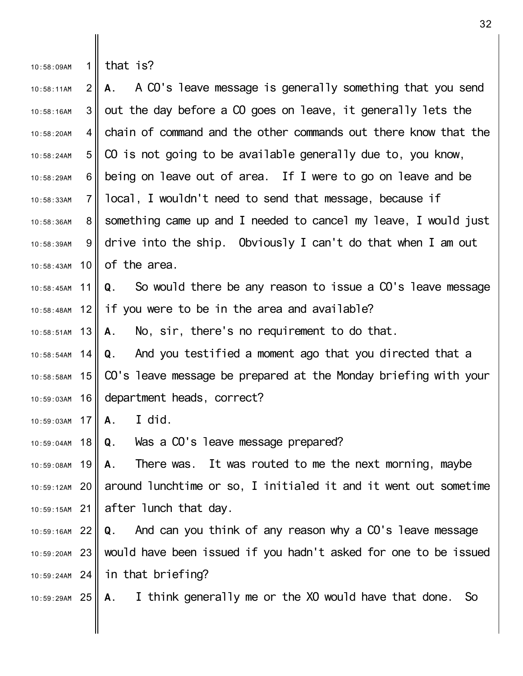| $10:58:09$ AM |  | 1  that is? |  |
|---------------|--|-------------|--|
|---------------|--|-------------|--|

║

 $2<sub>1</sub>$  $3<sup>||</sup>$ 4 II 5 6 II 7 8 9 10 10:58:43AM 10:58:11AM 10:58:16AM 10:58:20AM 10:58:24AM 10:58:29AM 10:58:33AM 10:58:36AM 10:58:39AM **A.** A CO's leave message is generally something that you send out the day before a CO goes on leave, it generally lets the chain of command and the other commands out there know that the CO is not going to be available generally due to, you know, being on leave out of area. If I were to go on leave and be local, I wouldn't need to send that message, because if something came up and I needed to cancel my leave, I would just drive into the ship. Obviously I can't do that when I am out of the area.

11 12 10:58:45AM 10:58:48AM **Q.** So would there be any reason to issue a CO's leave message if you were to be in the area and available?

13 10:58:51AM **A.** No, sir, there's no requirement to do that.

14 10:58:58AM 15 16  $10.58.54$ AM 10:59:03AM **Q.** And you testified a moment ago that you directed that a CO's leave message be prepared at the Monday briefing with your department heads, correct?

17 10:59:03AM **A.** I did.

18 10:59:04AM **Q.** Was a CO's leave message prepared?

19 10:59:08AM 20 10:59:12AM 21 10:59:15AM **A.** There was. It was routed to me the next morning, maybe around lunchtime or so, I initialed it and it went out sometime after lunch that day.

22 10:59:16AM 23 10:59:20AM 24 10:59:24AM **Q.** And can you think of any reason why a CO's leave message would have been issued if you hadn't asked for one to be issued in that briefing?

25 10:59:29AM **A.** I think generally me or the XO would have that done. So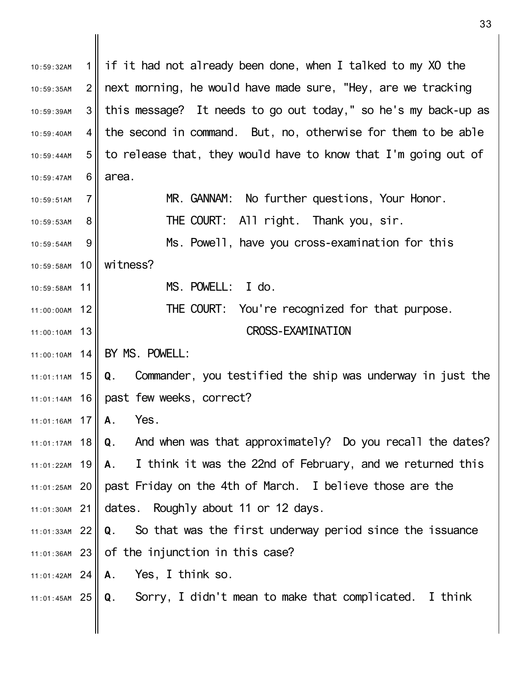1  $2<sub>1</sub>$ 3 4 5 6 II 7 8 9 10 10:59:58AM 11 10:59:58AM 12 11:00:00AM 11:00:10AM 13 14 11:00:10AM 11:01:11AM 15 16 11:01:14AM 17 11:01:16AM 11:01:17AM 18 19 11:01:22AM 11:01:25AM 20 **Q** past Friday on the 4th of March. I believe those are the 21 11:01:30AM 22 11:01:33AM 23 11:01:36AM 24 11:01:42AM 25 11:01:45AM 10:59:32AM 10:59:35AM 10:59:39AM 10:59:40AM 10:59:44AM 10:59:47AM  $10.59.51$ AM 10:59:53AM 10:59:54AM if it had not already been done, when I talked to my XO the next morning, he would have made sure, "Hey, are we tracking this message? It needs to go out today," so he's my back-up as the second in command. But, no, otherwise for them to be able to release that, they would have to know that I'm going out of area. MR. GANNAM: No further questions, Your Honor. THE COURT: All right. Thank you, sir. Ms. Powell, have you cross-examination for this witness? MS. POWELL: I do. THE COURT: You're recognized for that purpose. CROSS-EXAMINATION BY MS. POWELL: **Q.** Commander, you testified the ship was underway in just the past few weeks, correct? **A.** Yes. **Q.** And when was that approximately? Do you recall the dates? **A.** I think it was the 22nd of February, and we returned this dates. Roughly about 11 or 12 days. **Q.** So that was the first underway period since the issuance of the injunction in this case? **A.** Yes, I think so. **Q.** Sorry, I didn't mean to make that complicated. I think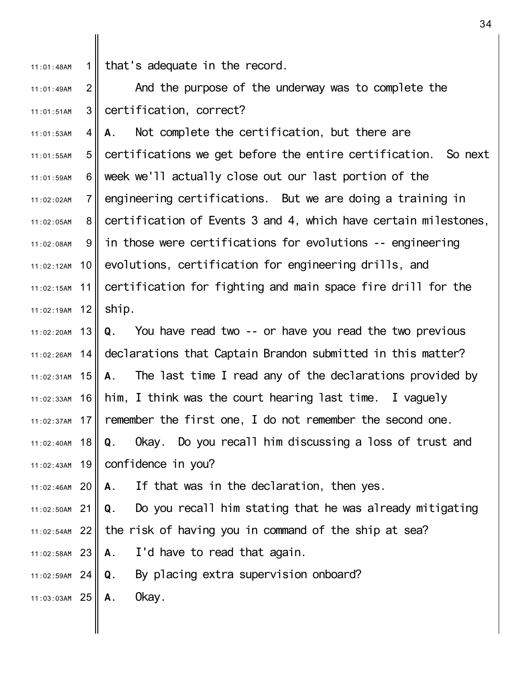1 11:01:48AM that's adequate in the record.

2 3 11:01:49AM 11:01:51AM And the purpose of the underway was to complete the certification, correct?

4 5 6 II 7 8 9 10 11 11:02:19AM 12 11:01:53AM 11:01:55AM 11:01:59AM 11:02:02AM 11:02:05AM 11:02:08AM 11:02:12AM 11:02:15AM **A.** Not complete the certification, but there are certifications we get before the entire certification. So next week we'll actually close out our last portion of the engineering certifications. But we are doing a training in certification of Events 3 and 4, which have certain milestones, in those were certifications for evolutions -- engineering evolutions, certification for engineering drills, and certification for fighting and main space fire drill for the ship.

13 11:02:20AM  $14$ 11:02:31AM 15 16 17 11:02:37AM 11:02:40AM 18 11:02:43AM 19 11:02:26AM 11:02:33AM **Q.** You have read two -- or have you read the two previous declarations that Captain Brandon submitted in this matter? **A.** The last time I read any of the declarations provided by him, I think was the court hearing last time. I vaguely remember the first one, I do not remember the second one. **Q.** Okay. Do you recall him discussing a loss of trust and confidence in you?

20 11:02:46AM **A.** If that was in the declaration, then yes.

21 11:02:50AM **Q.** Do you recall him stating that he was already mitigating

- 22 11:02:54AM the risk of having you in command of the ship at sea?
- 23 11:02:58AM **A.** I'd have to read that again.

24 11:02:59AM **Q.** By placing extra supervision onboard?

25 11:03:03AM **A.** Okay.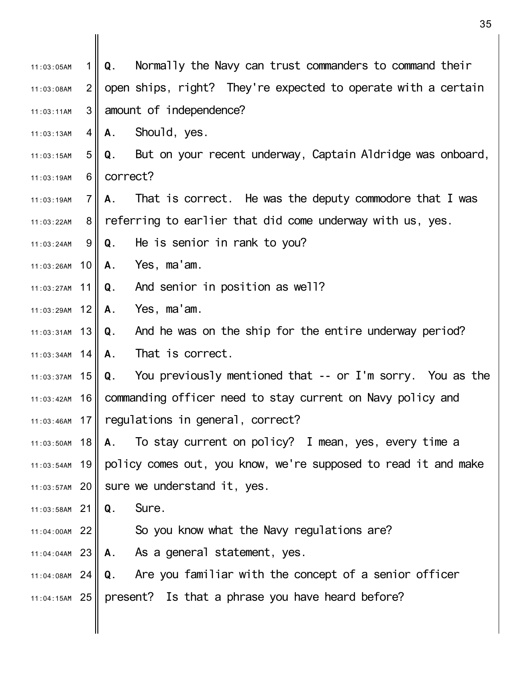1 II  $2<sub>1</sub>$ 3 4 II 5 6 II 7 8 II 9 II 11:03:26AM 10 11 11:03:27AM 11:03:29AM 12 11:03:31AM 13 14 11:03:34AM 11:03:37AM 15 11:03:42AM 16 11:03:46AM 17 | regulations in general, correct? 11:03:50AM 18 11:03:54AM 19 20 11:03:57AM 21 11:03:58AM 22 11:04:00AM 11:03:05AM 11:03:08AM 11:03:11AM 11:03:13AM 11:03:15AM 11:03:19AM 11:03:19AM 11:03:22AM 11:03:24AM **Q.** Normally the Navy can trust commanders to command their open ships, right? They're expected to operate with a certain amount of independence? **A.** Should, yes. **Q.** But on your recent underway, Captain Aldridge was onboard, correct? **A.** That is correct. He was the deputy commodore that I was referring to earlier that did come underway with us, yes. **Q.** He is senior in rank to you? **A.** Yes, ma'am. **Q.** And senior in position as well? **A.** Yes, ma'am. **Q.** And he was on the ship for the entire underway period? **A.** That is correct. **Q.** You previously mentioned that -- or I'm sorry. You as the commanding officer need to stay current on Navy policy and **A.** To stay current on policy? I mean, yes, every time a policy comes out, you know, we're supposed to read it and make sure we understand it, yes. **Q.** Sure. So you know what the Navy regulations are?

- 23 11:04:04AM **A.** As a general statement, yes.
- 24 11:04:08AM 25 11:04:15AM **Q.** Are you familiar with the concept of a senior officer present? Is that a phrase you have heard before?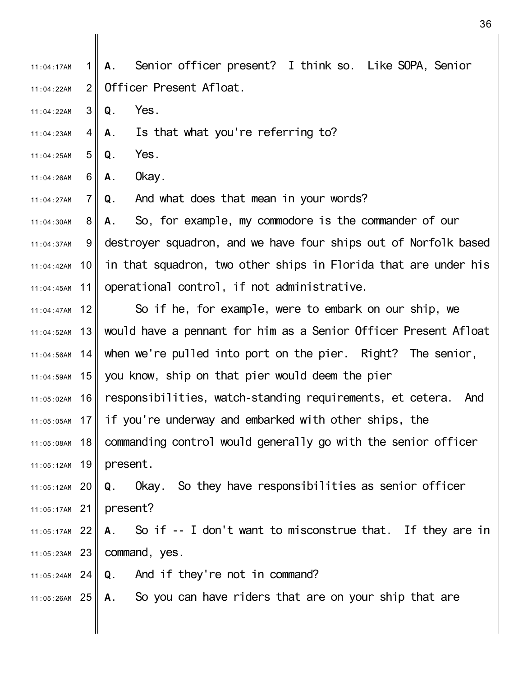1  $2<sub>1</sub>$ 11:04:17AM 11:04:22AM **A.** Senior officer present? I think so. Like SOPA, Senior Officer Present Afloat.

- 3 II 11:04:22AM **Q.** Yes.
- 4 II 11:04:23AM **A.** Is that what you're referring to?
- $5<sub>II</sub>$ 11:04:25AM **Q.** Yes.
- 6 II 11:04:26AM **A.** Okay.

7 II 11:04:27AM **Q.** And what does that mean in your words?

8 9 II 11:04:42AM 10 11 11:04:30AM 11:04:37AM 11:04:45AM **A.** So, for example, my commodore is the commander of our destroyer squadron, and we have four ships out of Norfolk based in that squadron, two other ships in Florida that are under his operational control, if not administrative.

12 11:04:52AM 13 14 $\parallel$ 11:04:59AM 15 16 17 11:05:05AM 11:05:08AM 18 11:05:12AM 19 11:04:47AM  $11:04:56AM$ 11:05:02AM So if he, for example, were to embark on our ship, we would have a pennant for him as a Senior Officer Present Afloat when we're pulled into port on the pier. Right? The senior, you know, ship on that pier would deem the pier responsibilities, watch-standing requirements, et cetera. And if you're underway and embarked with other ships, the commanding control would generally go with the senior officer present.

20 11:05:12AM 21 11:05:17AM **Q.** Okay. So they have responsibilities as senior officer present?

22 11:05:17AM 23 11:05:23AM **A.** So if -- I don't want to misconstrue that. If they are in command, yes.

- 24 11:05:24AM **Q.** And if they're not in command?
- 25 11:05:26AM **A.** So you can have riders that are on your ship that are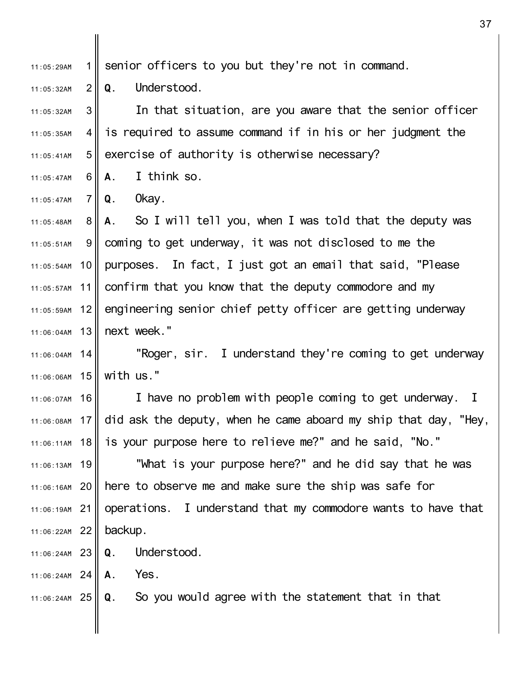1 II 11:05:29AM senior officers to you but they're not in command.

 $2<sub>l</sub>$ 11:05:32AM **Q.** Understood.

3 4 II  $5<sub>1</sub>$ 11:05:32AM 11:05:35AM 11:05:41AM In that situation, are you aware that the senior officer is required to assume command if in his or her judgment the exercise of authority is otherwise necessary?

6 II 11:05:47AM **A.** I think so.

7 II  $11:05:47AM$ **Q.** Okay.

8 9 II 11:05:54AM 10 11 12 13 11:06:04AM 11:05:48AM 11:05:51AM 11:05:57AM 11:05:59AM **A.** So I will tell you, when I was told that the deputy was coming to get underway, it was not disclosed to me the purposes. In fact, I just got an email that said, "Please confirm that you know that the deputy commodore and my engineering senior chief petty officer are getting underway next week."

14 11:06:04AM 11:06:06AM 15 "Roger, sir. I understand they're coming to get underway with us."

16 11:06:07AM 17 11:06:08AM 11:06:11AM 18 I have no problem with people coming to get underway. I did ask the deputy, when he came aboard my ship that day, "Hey, is your purpose here to relieve me?" and he said, "No."

11:06:13AM 19 20 11:06:16AM 21 11:06:19AM 22 11:06:22AM "What is your purpose here?" and he did say that he was here to observe me and make sure the ship was safe for operations. I understand that my commodore wants to have that backup.

23 11:06:24AM **Q.** Understood.

24 11:06:24AM **A.** Yes.

25 11:06:24AM **Q.** So you would agree with the statement that in that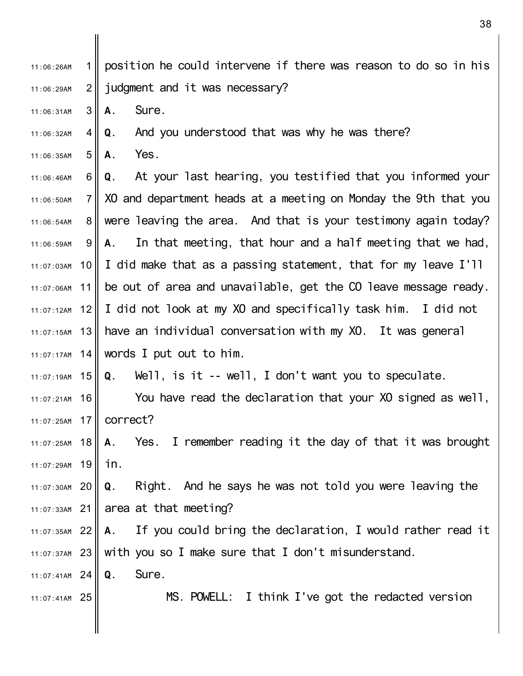1  $2<sub>1</sub>$ 11:06:26AM 11:06:29AM position he could intervene if there was reason to do so in his judgment and it was necessary?

- 3 11:06:31AM **A.** Sure.
- 4 11:06:32AM **Q.** And you understood that was why he was there?
- 5 11:06:35AM **A.** Yes.

6 II 7 8 II 9 10 11  $12<sub>1</sub>$ 13 11:07:15AM 14 11:07:17AM 11:06:46AM  $11.06:50AM$ 11:06:54AM 11:06:59AM 11:07:03AM 11:07:06AM 11:07:12AM **Q.** At your last hearing, you testified that you informed your XO and department heads at a meeting on Monday the 9th that you were leaving the area. And that is your testimony again today? **A.** In that meeting, that hour and a half meeting that we had, I did make that as a passing statement, that for my leave I'll be out of area and unavailable, get the CO leave message ready. I did not look at my XO and specifically task him. I did not have an individual conversation with my XO. It was general words I put out to him.

11:07:19AM 15 **Q.** Well, is it -- well, I don't want you to speculate.

16 11:07:21AM 17 11:07:25AM You have read the declaration that your XO signed as well, correct?

11:07:25AM 18 19 11:07:29AM **A.** Yes. I remember reading it the day of that it was brought in.

20 11:07:30AM 21 11:07:33AM **Q.** Right. And he says he was not told you were leaving the area at that meeting?

22 11:07:35AM 23 11:07:37AM **A.** If you could bring the declaration, I would rather read it with you so I make sure that I don't misunderstand.

24 11:07:41AM **Q.** Sure.

25 11:07:41AM

MS. POWELL: I think I've got the redacted version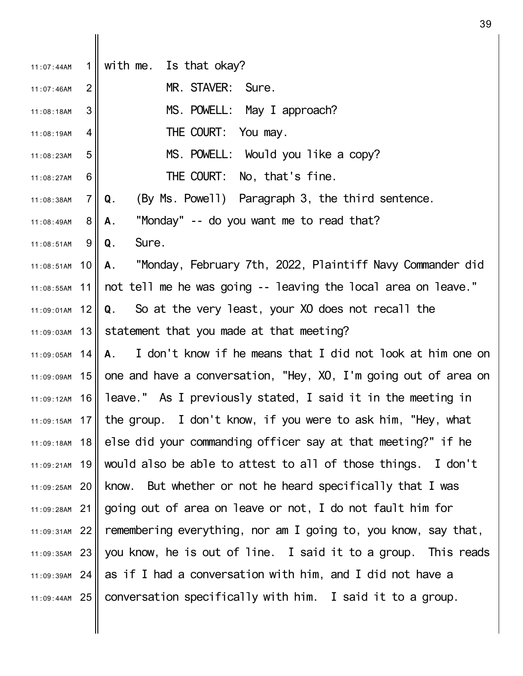| 11:07:44AM      | 1 <sup>1</sup>  | with me. Is that okay?                                                       |
|-----------------|-----------------|------------------------------------------------------------------------------|
| 11:07:46AM      | $\overline{2}$  | MR. STAVER: Sure.                                                            |
| 11:08:18AM      | 3               | MS. POWELL: May I approach?                                                  |
| 11:08:19AM      | 4               | THE COURT: You may.                                                          |
| 11:08:23AM      | 5               | MS. POWELL: Would you like a copy?                                           |
| 11:08:27AM      | 6               | THE COURT: No, that's fine.                                                  |
| 11:08:38AM      | $\overline{7}$  | (By Ms. Powell) Paragraph 3, the third sentence.<br>Q.                       |
| 11:08:49AM      | $8 \mid$        | "Monday" -- do you want me to read that?<br>А.                               |
| 11:08:51AM      | 9 <sub>l</sub>  | Sure.<br>Q.                                                                  |
| 11:08:51AM      | 10 <sup>1</sup> | A. "Monday, February 7th, 2022, Plaintiff Navy Commander did                 |
| 11:08:55AM      |                 | 11    not tell me he was going -- leaving the local area on leave."          |
| 11:09:01AM      | 12              | Q. So at the very least, your XO does not recall the                         |
| 11:09:03AM      | 13              | statement that you made at that meeting?                                     |
| $11:09:05$ AM   | 14              | A. I don't know if he means that I did not look at him one on                |
| 11:09:09AM      |                 | 15 one and have a conversation, "Hey, XO, I'm going out of area on           |
| 11:09:12AM      | _16             | leave." As I previously stated, I said it in the meeting in                  |
|                 |                 | $11:09:15$ AM 17 the group. I don't know, if you were to ask him, "Hey, what |
| 11:09:18AM      | <u>18</u>       | else did your commanding officer say at that meeting?" if he                 |
| 11:09:21AM $19$ |                 | would also be able to attest to all of those things. I don't                 |
| 11:09:25AM 20   |                 | know. But whether or not he heard specifically that I was                    |
| 11:09:28AM 21   |                 | going out of area on leave or not, I do not fault him for                    |
| 11:09:31AM 22   |                 | remembering everything, nor am I going to, you know, say that,               |
| 11:09:35AM 23   |                 | you know, he is out of line. I said it to a group. This reads                |
| 11:09:39AM 24   |                 | as if I had a conversation with him, and I did not have a                    |
| 11:09:44AM 25   |                 | conversation specifically with him. I said it to a group.                    |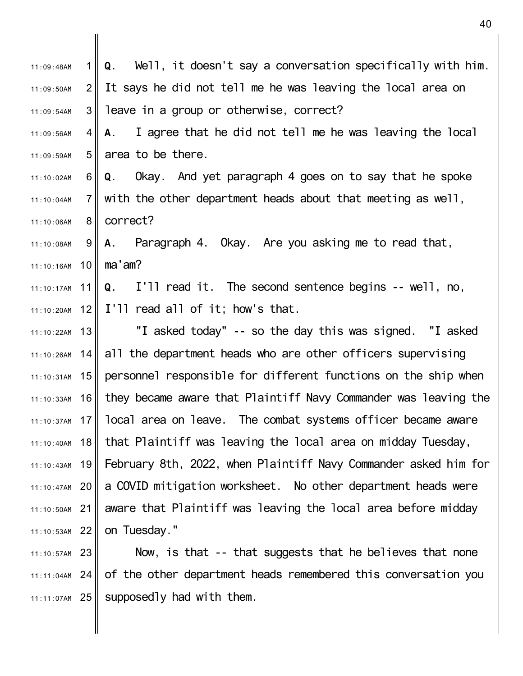| 11:09:48AM      | 1 <sup>  </sup> | Q. Well, it doesn't say a conversation specifically with him.     |
|-----------------|-----------------|-------------------------------------------------------------------|
| 11:09:50AM      | 2 <sup>1</sup>  | It says he did not tell me he was leaving the local area on       |
| 11:09:54AM      | 3 <sup>1</sup>  | leave in a group or otherwise, correct?                           |
| 11:09:56AM      | $\overline{4}$  | A. I agree that he did not tell me he was leaving the local       |
| 11:09:59AM      | 5 <sub>1</sub>  | area to be there.                                                 |
| 11:10:02AM      | 6               | Q. Okay. And yet paragraph 4 goes on to say that he spoke         |
| 11:10:04AM      | 7 <sup>1</sup>  | with the other department heads about that meeting as well,       |
| 11:10:06AM      | 8 <sup>1</sup>  | correct?                                                          |
| 11:10:08AM      | 9               | A. Paragraph 4. Okay. Are you asking me to read that,             |
| 11:10:16AM      | 10 <sup>1</sup> | ma'am?                                                            |
| 11:10:17AM $11$ |                 | Q. I'll read it. The second sentence begins -- well, no,          |
|                 |                 | 11:10:20AM 12 $\parallel$ I'll read all of it; how's that.        |
| 11:10:22AM 13   |                 | "I asked today" -- so the day this was signed. "I asked           |
| 11:10:26AM 14   |                 | all the department heads who are other officers supervising       |
| 11:10:31AM $15$ |                 | personnel responsible for different functions on the ship when    |
| 11:10:33AM      | 16              | they became aware that Plaintiff Navy Commander was leaving the   |
| 11:10:37AM      |                 | 17   local area on leave. The combat systems officer became aware |
| 11:10:40AM      | 18              | that Plaintiff was leaving the local area on midday Tuesday,      |
| 11:10:43AM      | 19              | February 8th, 2022, when Plaintiff Navy Commander asked him for   |
| $11:10:47AM$ 20 |                 | a COVID mitigation worksheet. No other department heads were      |
| $11:10:50AM$ 21 |                 | aware that Plaintiff was leaving the local area before midday     |
| $11:10:53AM$ 22 |                 | on Tuesday."                                                      |
| 11:10:57AM 23   |                 | Now, is that -- that suggests that he believes that none          |
| $11:11:04AM$ 24 |                 | of the other department heads remembered this conversation you    |

 $11:11:07$ AM 25 | supposedly had with them.

║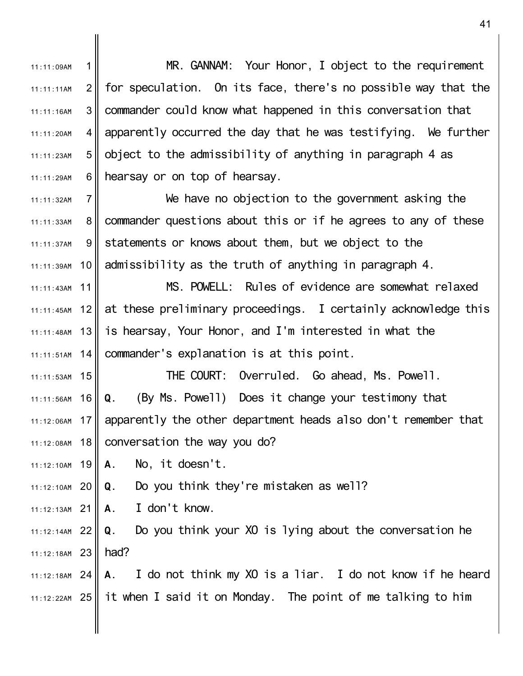1  $2<sub>1</sub>$ 3 4 5 6 II 7 8 9 10 11 12 13 14 $\parallel$  $15<sup>1</sup>$ 16 17 18 11:12:10AM 19 20 11:12:10AM 21 11:12:13AM 22 11:12:14AM 23 11:12:18AM 24 11:12:18AM 25 11:12:22AM 11:11:09AM 11:11:11AM 11:11:16AM 11:11:20AM 11:11:23AM 11:11:29AM 11:11:32AM 11:11:33AM 11:11:37AM 11:11:39AM 11:11:43AM 11:11:45AM 11:11:48AM  $11 \cdot 11 \cdot 51$ AM 11:11:53AM 11:11:56AM 11:12:06AM 11:12:08AM MR. GANNAM: Your Honor, I object to the requirement for speculation. On its face, there's no possible way that the commander could know what happened in this conversation that apparently occurred the day that he was testifying. We further object to the admissibility of anything in paragraph 4 as hearsay or on top of hearsay. We have no objection to the government asking the commander questions about this or if he agrees to any of these statements or knows about them, but we object to the admissibility as the truth of anything in paragraph 4. MS. POWELL: Rules of evidence are somewhat relaxed at these preliminary proceedings. I certainly acknowledge this is hearsay, Your Honor, and I'm interested in what the commander's explanation is at this point. THE COURT: Overruled. Go ahead, Ms. Powell. **Q.** (By Ms. Powell) Does it change your testimony that apparently the other department heads also don't remember that conversation the way you do? **A.** No, it doesn't. **Q.** Do you think they're mistaken as well? **A.** I don't know. **Q.** Do you think your XO is lying about the conversation he had? **A.** I do not think my XO is a liar. I do not know if he heard it when I said it on Monday. The point of me talking to him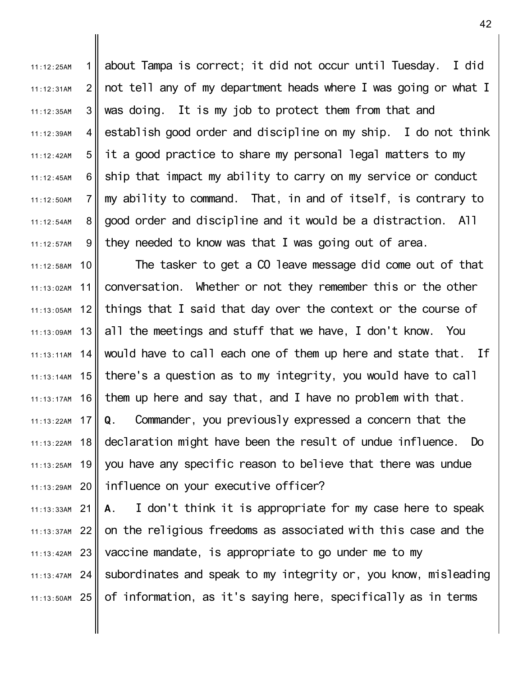1 II  $2<sub>1</sub>$ 3 4 5 6 II 7 8 9 11:12:25AM 11:12:31AM 11:12:35AM 11:12:39AM 11:12:42AM 11:12:45AM  $11 \cdot 12 \cdot 50$ AM 11:12:54AM 11:12:57AM about Tampa is correct; it did not occur until Tuesday. I did not tell any of my department heads where I was going or what I was doing. It is my job to protect them from that and establish good order and discipline on my ship. I do not think it a good practice to share my personal legal matters to my ship that impact my ability to carry on my service or conduct my ability to command. That, in and of itself, is contrary to good order and discipline and it would be a distraction. All they needed to know was that I was going out of area.

10 11 12 13 14 11:13:14AM 15 16 17 11:13:22AM 18 11:13:25AM 19 20 11:13:29AM 11:12:58AM 11:13:02AM 11:13:05AM 11:13:09AM 11:13:11AM 11:13:17AM 11:13:22AM The tasker to get a CO leave message did come out of that conversation. Whether or not they remember this or the other things that I said that day over the context or the course of all the meetings and stuff that we have, I don't know. You would have to call each one of them up here and state that. If there's a question as to my integrity, you would have to call them up here and say that, and I have no problem with that. **Q.** Commander, you previously expressed a concern that the declaration might have been the result of undue influence. Do you have any specific reason to believe that there was undue influence on your executive officer?

21 11:13:33AM 22 11:13:37AM 23 11:13:42AM 24 11:13:47AM 25 11:13:50AM **A.** I don't think it is appropriate for my case here to speak on the religious freedoms as associated with this case and the vaccine mandate, is appropriate to go under me to my subordinates and speak to my integrity or, you know, misleading of information, as it's saying here, specifically as in terms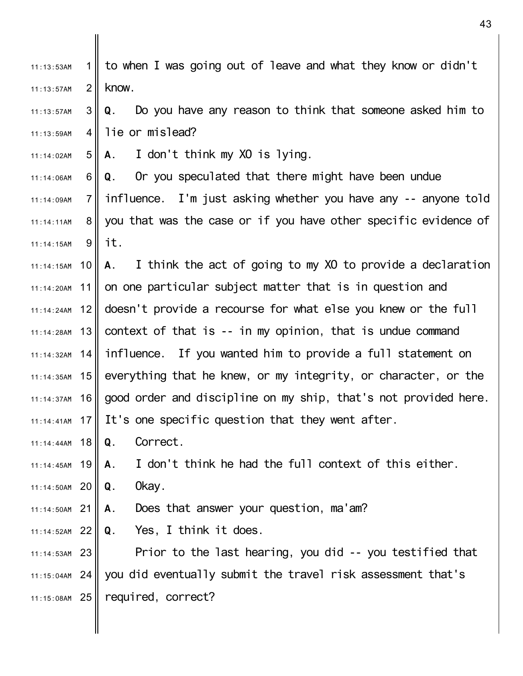| 11:13:53AM      | 11              | to when I was going out of leave and what they know or didn't                     |
|-----------------|-----------------|-----------------------------------------------------------------------------------|
| 11:13:57AM      | $\overline{2}$  | know.                                                                             |
| 11:13:57AM      | 3               | Do you have any reason to think that someone asked him to<br>Q.                   |
| 11:13:59AM      | 4 II            | lie or mislead?                                                                   |
| 11:14:02AM      | 5 <sub>II</sub> | A. I don't think my XO is lying.                                                  |
| 11:14:06AM      | 6               | Or you speculated that there might have been undue<br>Q.                          |
| 11:14:09AM      | 7 <sub>II</sub> | influence. I'm just asking whether you have any -- anyone told                    |
| 11:14:11AM      | 8 <sup>1</sup>  | you that was the case or if you have other specific evidence of                   |
| 11:14:15AM      | 9               | it.                                                                               |
|                 |                 | $11:14:15$ AM 10    A. I think the act of going to my XO to provide a declaration |
|                 |                 | $11:14:20$ AM 11   on one particular subject matter that is in question and       |
|                 |                 | $11:14:24$ AM 12 doesn't provide a recourse for what else you knew or the full    |
|                 |                 | $11:14:28$ AM 13 context of that is -- in my opinion, that is undue command       |
|                 |                 | $11:14:32$ AM 14   influence. If you wanted him to provide a full statement on    |
|                 |                 | $11:14:35$ AM 15 everything that he knew, or my integrity, or character, or the   |
| $11:14:37AM$ 16 |                 | good order and discipline on my ship, that's not provided here.                   |
|                 |                 | $11:14:41$ AM 17 It's one specific question that they went after.                 |
| $11:14:44AM$ 18 |                 | Correct.<br>Q.                                                                    |
| $11:14:45AM$ 19 |                 | I don't think he had the full context of this either.<br>А.                       |
| 11:14:50AM 20   |                 | 0kay.<br>Q.                                                                       |
| 11:14:50AM 21   |                 | Does that answer your question, ma'am?<br>Α.                                      |
| 11:14:52AM 22   |                 | <b>Q</b> . Yes, I think it does.                                                  |
| 11:14:53AM 23   |                 | Prior to the last hearing, you did -- you testified that                          |
| 11:15:04AM 24   |                 | you did eventually submit the travel risk assessment that's                       |
| 11:15:08AM 25   |                 | required, correct?                                                                |
|                 |                 |                                                                                   |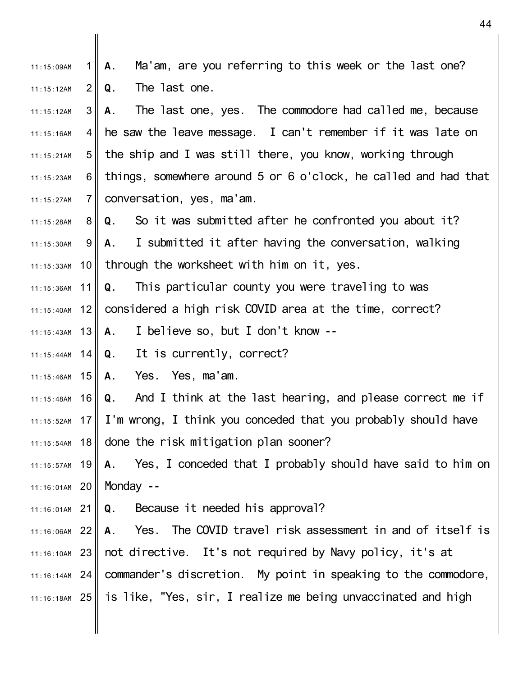1 II  $2<sub>1</sub>$ 3<sup>I</sup> 4 II  $5<sub>II</sub>$ 6 II 7 II 8 9 I 11:15:33AM 10 11  $12$ 11:15:43AM 13 14 11:15:44AM 11:15:46AM 15 11:15:48AM 16 17 11:15:52AM 11:15:54AM 18 19 11:15:57AM 20 11:16:01AM 21 11:16:01AM 22 11:16:06AM 11:16:10AM 23 || not directive. It's not required by Navy policy, it's at 11:16:14AM 24 commander's discretion. My point in speaking to the commodore, 25 11:16:18AM 11:15:09AM 11:15:12AM 11:15:12AM 11:15:16AM 11:15:21AM 11:15:23AM 11:15:27AM 11:15:28AM 11:15:30AM 11:15:36AM 11:15:40AM **A.** Ma'am, are you referring to this week or the last one? **Q.** The last one. **A.** The last one, yes. The commodore had called me, because he saw the leave message. I can't remember if it was late on the ship and I was still there, you know, working through things, somewhere around 5 or 6 o'clock, he called and had that conversation, yes, ma'am. **Q.** So it was submitted after he confronted you about it? **A.** I submitted it after having the conversation, walking through the worksheet with him on it, yes. **Q.** This particular county you were traveling to was considered a high risk COVID area at the time, correct? **A.** I believe so, but I don't know -- **Q.** It is currently, correct? **A.** Yes. Yes, ma'am. **Q.** And I think at the last hearing, and please correct me if I'm wrong, I think you conceded that you probably should have done the risk mitigation plan sooner? **A.** Yes, I conceded that I probably should have said to him on Monday -- **Q.** Because it needed his approval? **A.** Yes. The COVID travel risk assessment in and of itself is is like, "Yes, sir, I realize me being unvaccinated and high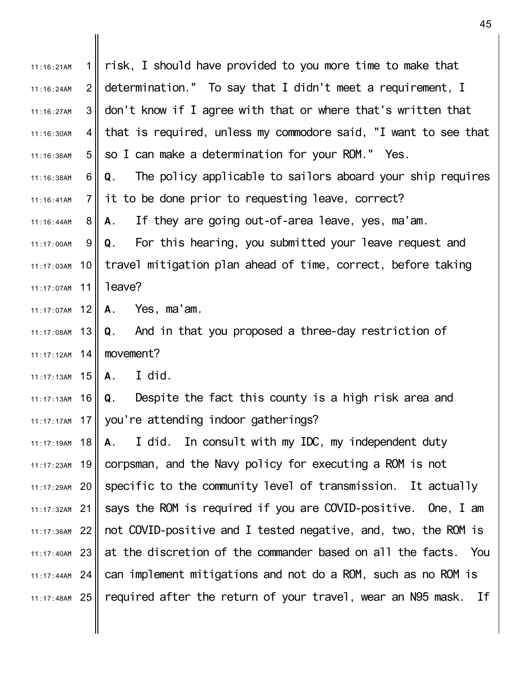| 11:16:21AM             | 1 <sup>1</sup>  | risk, I should have provided to you more time to make that                         |
|------------------------|-----------------|------------------------------------------------------------------------------------|
| 11:16:24AM             | $\overline{2}$  | determination." To say that I didn't meet a requirement, I                         |
| 11:16:27AM             | 3               | don't know if I agree with that or where that's written that                       |
| 11:16:30AM             | $\vert 4 \vert$ | that is required, unless my commodore said, "I want to see that                    |
| 11:16:36AM             | 5 <sub>l</sub>  | so I can make a determination for your ROM." Yes.                                  |
| 11:16:38AM             | 6               | The policy applicable to sailors aboard your ship requires<br>Q.                   |
| 11:16:41AM             | $\overline{7}$  | it to be done prior to requesting leave, correct?                                  |
| 11:16:44AM             | 8               | If they are going out-of-area leave, yes, ma'am.<br>A.                             |
| 11:17:00AM             | 9               | Q. For this hearing, you submitted your leave request and                          |
| 11:17:03AM             |                 | 10 travel mitigation plan ahead of time, correct, before taking                    |
| 11:17:07AM 11   leave? |                 |                                                                                    |
|                        |                 | 11:17:07AM 12    A. Yes, ma'am.                                                    |
| 11:17:08AM             | 13              | Q. And in that you proposed a three-day restriction of                             |
| 11:17:12AM             | 14              | movement?                                                                          |
| 11:17:13AM $15  A.$    |                 | I did.                                                                             |
| 11:17:13AM             | 16              | Despite the fact this county is a high risk area and<br>Q.                         |
|                        |                 | 11:17:17AM 17 you're attending indoor gatherings?                                  |
| 11:17:19AM             | 18              | A. I did. In consult with my IDC, my independent duty                              |
|                        |                 | $11:17:23$ AM 19 corpsman, and the Navy policy for executing a ROM is not          |
|                        |                 | $11:17:29$ AM 20 specific to the community level of transmission. It actually      |
|                        |                 | $11:17:32$ AM 21 Says the ROM is required if you are COVID-positive. One, I am     |
|                        |                 | $11:17:36$ AM 22    not COVID-positive and I tested negative, and, two, the ROM is |
| $11:17:40AM$ 23        |                 | at the discretion of the commander based on all the facts. You                     |
|                        |                 | $11:17:44$ AM 24   can implement mitigations and not do a ROM, such as no ROM is   |
|                        |                 | 11:17:48AM 25    required after the return of your travel, wear an N95 mask. If    |
|                        |                 |                                                                                    |
|                        |                 |                                                                                    |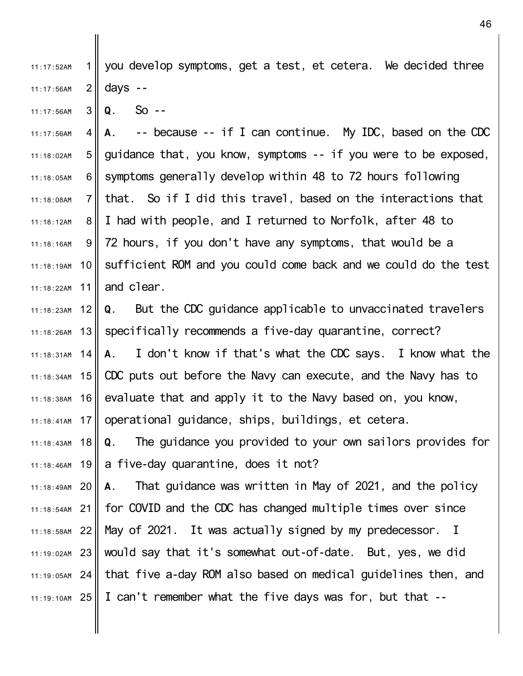1 II  $2<sub>1</sub>$ 11:17:52AM 11:17:56AM you develop symptoms, get a test, et cetera. We decided three days --

3 11:17:56AM **Q.** So --

4 5 6 II 7 8 9 10 11 11:17:56AM 11:18:02AM 11:18:05AM 11:18:08AM 11:18:12AM 11:18:16AM 11:18:19AM 11:18:22AM **A.** -- because -- if I can continue. My IDC, based on the CDC guidance that, you know, symptoms -- if you were to be exposed, symptoms generally develop within 48 to 72 hours following that. So if I did this travel, based on the interactions that I had with people, and I returned to Norfolk, after 48 to 72 hours, if you don't have any symptoms, that would be a sufficient ROM and you could come back and we could do the test and clear.

12 13 $\parallel$ 14 11:18:34AM 15 16 II 17 11:18:41AM 11:18:23AM 11:18:26AM 11:18:31AM 11:18:38AM **Q.** But the CDC guidance applicable to unvaccinated travelers specifically recommends a five-day quarantine, correct? **A.** I don't know if that's what the CDC says. I know what the CDC puts out before the Navy can execute, and the Navy has to evaluate that and apply it to the Navy based on, you know, operational guidance, ships, buildings, et cetera.

11:18:43AM 18 11:18:46AM 19 **Q.** The guidance you provided to your own sailors provides for a five-day quarantine, does it not?

20 11:18:49AM 21 11:18:54AM 22 11:18:58AM 23 11:19:02AM 11:19:05AM 24 that five a-day ROM also based on medical guidelines then, and 25 11:19:10AM **A.** That guidance was written in May of 2021, and the policy for COVID and the CDC has changed multiple times over since May of 2021. It was actually signed by my predecessor. I would say that it's somewhat out-of-date. But, yes, we did I can't remember what the five days was for, but that --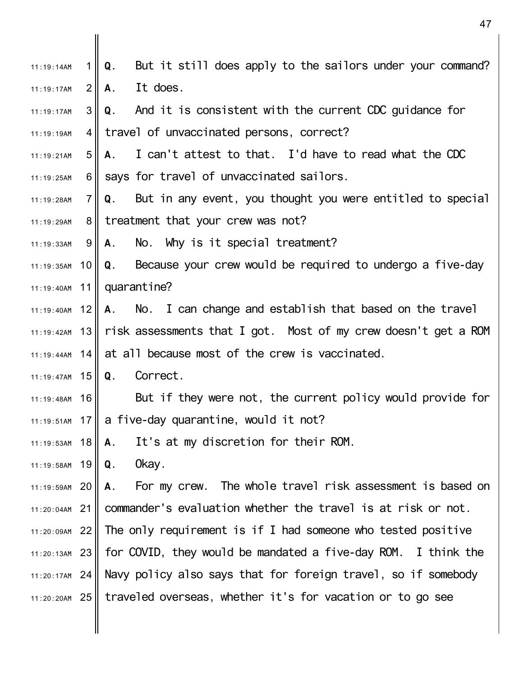| 11:19:14AM      | 1 II            | $\mathsf Q$ .<br>But it still does apply to the sailors under your command?        |
|-----------------|-----------------|------------------------------------------------------------------------------------|
| 11:19:17AM      | 2 <sub>1</sub>  | It does.<br>A.                                                                     |
| 11:19:17AM      | 3 <sup>1</sup>  | Q. And it is consistent with the current CDC guidance for                          |
| 11:19:19AM      |                 | 4  travel of unvaccinated persons, correct?                                        |
| 11:19:21AM      | 5 <sub>II</sub> | A. I can't attest to that. I'd have to read what the CDC                           |
| 11:19:25AM      | $6 \mid$        | says for travel of unvaccinated sailors.                                           |
| 11:19:28AM      | $7 \mid$        | But in any event, you thought you were entitled to special<br>Q.                   |
| 11:19:29AM      |                 | 8  treatment that your crew was not?                                               |
| 11:19:33AM      | 9               | A. No. Why is it special treatment?                                                |
|                 |                 | $11:19:35$ AM 10    Q. Because your crew would be required to undergo a five-day   |
|                 |                 | 11:19:40AM 11   quarantine?                                                        |
|                 |                 | $11:19:40$ AM 12    A. No. I can change and establish that based on the travel     |
|                 |                 | $11:19:42$ AM 13    risk assessments that I got. Most of my crew doesn't get a ROM |
|                 |                 | $11:19:44$ AM 14    at all because most of the crew is vaccinated.                 |
| 11:19:47AM 15   |                 | Correct.<br>Q.                                                                     |
| 11:19:48AM      | 16              | But if they were not, the current policy would provide for                         |
|                 |                 | 11:19:51AM 17 $\parallel$ a five-day quarantine, would it not?                     |
| 11:19:53AM $18$ |                 | $\parallel$ A. It's at my discretion for their ROM.                                |
| 11:19:58AM 19   |                 | 0kay.<br>  Q.                                                                      |
| 11:19:59AM 20   |                 | A. For my crew. The whole travel risk assessment is based on                       |
|                 |                 | $11:20:04$ AM 21   commander's evaluation whether the travel is at risk or not.    |
|                 |                 | $11:20:09$ AM 22 The only requirement is if I had someone who tested positive      |
| 11:20:13AM 23   |                 | $\parallel$ for COVID, they would be mandated a five-day ROM. I think the          |
|                 |                 | $11:20:17$ AM 24    Navy policy also says that for foreign travel, so if somebody  |
| 11:20:20AM 25   |                 | traveled overseas, whether it's for vacation or to go see                          |
|                 |                 |                                                                                    |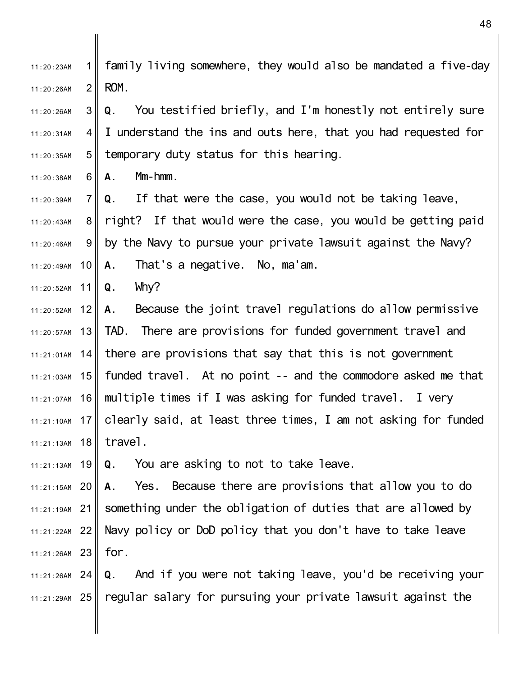1  $2<sub>1</sub>$ 11:20:23AM 11:20:26AM family living somewhere, they would also be mandated a five-day ROM.

- 3 4 II  $5<sub>II</sub>$ 11:20:26AM 11:20:31AM 11:20:35AM **Q.** You testified briefly, and I'm honestly not entirely sure I understand the ins and outs here, that you had requested for temporary duty status for this hearing.
- 6 II 11:20:38AM **A.** Mm-hmm.

7 II 8 II 9 I 11:20:49AM 10 11:20:39AM 11:20:43AM 11:20:46AM **Q.** If that were the case, you would not be taking leave, right? If that would were the case, you would be getting paid by the Navy to pursue your private lawsuit against the Navy? **A.** That's a negative. No, ma'am.

11 11:20:52AM **Q.** Why?

12 13 11:20:57AM 14 $\parallel$ 11:21:03AM 15 16 11:21:07AM 17 11:21:10AM 11:21:13AM 18 11:20:52AM 11:21:01AM **A.** Because the joint travel regulations do allow permissive TAD. There are provisions for funded government travel and there are provisions that say that this is not government funded travel. At no point -- and the commodore asked me that multiple times if I was asking for funded travel. I very clearly said, at least three times, I am not asking for funded travel.

11:21:13AM 19 **Q.** You are asking to not to take leave.

20 11:21:15AM 21 11:21:19AM 22 11:21:22AM 23 11:21:26AM **A.** Yes. Because there are provisions that allow you to do something under the obligation of duties that are allowed by Navy policy or DoD policy that you don't have to take leave for.

24 11:21:26AM 25 11:21:29AM **Q.** And if you were not taking leave, you'd be receiving your regular salary for pursuing your private lawsuit against the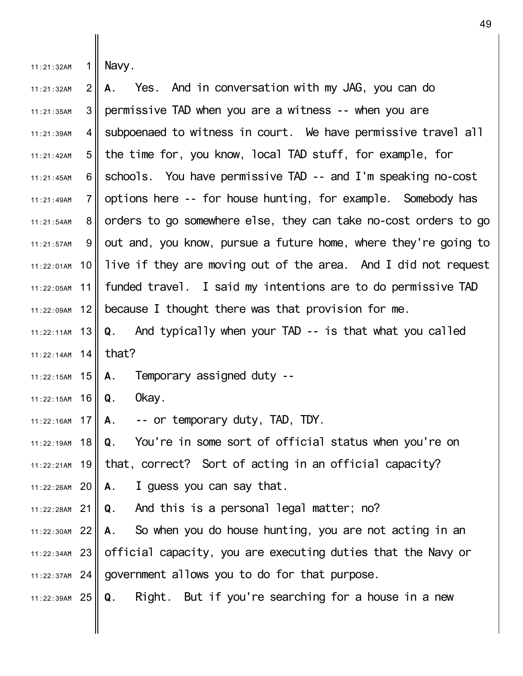| 11:21:32AM      | $\mathbf 1$    | Navy.                                                               |
|-----------------|----------------|---------------------------------------------------------------------|
| 11:21:32AM      | $\overline{2}$ | Yes. And in conversation with my JAG, you can do<br>А.              |
| 11:21:35AM      | 3              | permissive TAD when you are a witness -- when you are               |
| 11:21:39AM      | 4 II           | subpoenaed to witness in court. We have permissive travel all       |
| 11:21:42AM      | 5 <sub>1</sub> | the time for, you know, local TAD stuff, for example, for           |
| 11:21:45AM      | 6              | schools. You have permissive TAD -- and I'm speaking no-cost        |
| 11:21:49AM      | 7 <sup>1</sup> | options here -- for house hunting, for example. Somebody has        |
| 11:21:54AM      | 8              | orders to go somewhere else, they can take no-cost orders to go     |
| 11:21:57AM      | 9              | out and, you know, pursue a future home, where they're going to     |
| 11:22:01AM      | 10 II          | live if they are moving out of the area. And I did not request      |
| 11:22:05AM      |                | 11    funded travel. I said my intentions are to do permissive TAD  |
| 11:22:09AM      | 12             | because I thought there was that provision for me.                  |
| $11:22:11AM$ 13 |                | Q. And typically when your TAD -- is that what you called           |
| 11:22:14AM $14$ |                | that?                                                               |
| $11:22:15AM$ 15 |                | A. Temporary assigned duty --                                       |
| $11:22:15AM$ 16 |                | Okay.<br>Q.                                                         |
| 11:22:16AM $17$ |                | A. -- or temporary duty, TAD, TDY.                                  |
| 11:22:19AM      | 18             | Q. You're in some sort of official status when you're on            |
| $11:22:21AM$ 19 |                | that, correct? Sort of acting in an official capacity?              |
|                 |                | 11:22:26AM 20 $\parallel$ A. I guess you can say that.              |
| $11:22:28AM$ 21 |                | $\vert \mathbf{Q} \vert$ . And this is a personal legal matter; no? |
| $11:22:30AM$ 22 |                | A. So when you do house hunting, you are not acting in an           |
| $11:22:34AM$ 23 |                | official capacity, you are executing duties that the Navy or        |
|                 |                | 11:22:37AM 24 government allows you to do for that purpose.         |
| 11:22:39AM 25   |                | Q. Right. But if you're searching for a house in a new              |
|                 |                |                                                                     |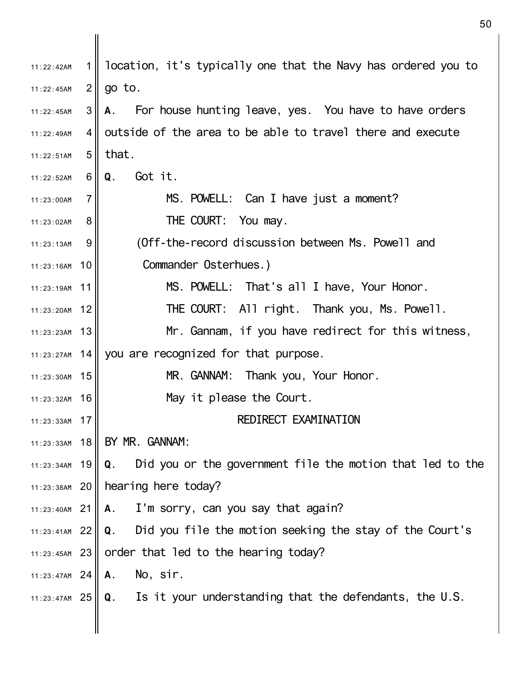| 11:22:42AM      |                | location, it's typically one that the Navy has ordered you to   |
|-----------------|----------------|-----------------------------------------------------------------|
| 11:22:45AM      | $\overline{2}$ | go to.                                                          |
| 11:22:45AM      | 3              | For house hunting leave, yes. You have to have orders<br>A.     |
| 11:22:49AM      | $\overline{4}$ | outside of the area to be able to travel there and execute      |
| 11:22:51AM      | 5              | that.                                                           |
| 11:22:52AM      | 6              | Got it.<br>Q.                                                   |
| 11:23:00AM      | 7              | MS. POWELL: Can I have just a moment?                           |
| 11:23:02AM      | 8              | THE COURT: You may.                                             |
| 11:23:13AM      | 9              | (Off-the-record discussion between Ms. Powell and               |
| 11:23:16AM      | 10             | Commander Osterhues.)                                           |
| 11:23:19AM      | 11             | MS. POWELL: That's all I have, Your Honor.                      |
| 11:23:20AM      | 12             | THE COURT: All right. Thank you, Ms. Powell.                    |
| $11:23:23AM$ 13 |                | Mr. Gannam, if you have redirect for this witness,              |
| 11:23:27AM $14$ |                | you are recognized for that purpose.                            |
| 11:23:30AM      | 15             | MR. GANNAM: Thank you, Your Honor.                              |
| 11:23:32AM      | 16             | May it please the Court.                                        |
| 11:23:33AM      | 17             | REDIRECT EXAMINATION                                            |
| 11:23:33AM      | 18             | BY MR. GANNAM:                                                  |
| 11:23:34AM      | 19             | Did you or the government file the motion that led to the<br>Q. |
|                 |                | 11:23:38AM 20   hearing here today?                             |
| 11:23:40AM      | 21             | I'm sorry, can you say that again?<br>Α.                        |
| $11:23:41AM$ 22 |                | Q. Did you file the motion seeking the stay of the Court's      |
| $11:23:45AM$ 23 |                | order that led to the hearing today?                            |
| $11:23:47AM$ 24 |                | A. No, sir.                                                     |
| 11:23:47AM 25   |                | Q. Is it your understanding that the defendants, the U.S.       |
|                 |                |                                                                 |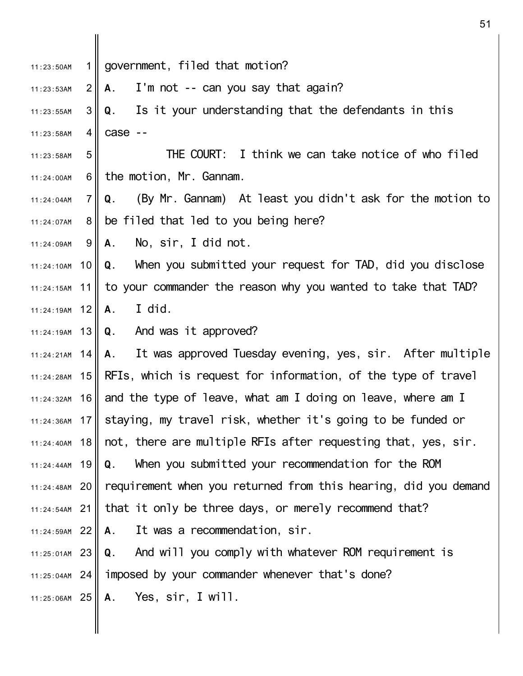1 II  $2<sub>l</sub>$ 3 II 4 II 5 6 II 7 I 8 II 9 11:24:10AM 10 11 11:24:19AM 12 13 11:24:19AM 14 11:24:21AM 11:24:28AM 15 **REIs, which is request for information, of the type of travel** 16|| and the type of leave, what am I doing on leave, where am I 17 11:24:36AM 11:24:40AM 18 11:24:44AM 19 20 11:24:48AM 21 11:24:54AM 22 11:24:59AM 23 11:25:01AM 24 11:25:04AM 25 11:25:06AM 11:23:50AM 11:23:53AM 11:23:55AM 11:23:58AM 11:23:58AM 11:24:00AM  $11:24:04$ AM 11:24:07AM 11:24:09AM 11:24:15AM 11:24:32AM government, filed that motion? **A.** I'm not -- can you say that again? **Q.** Is it your understanding that the defendants in this case -- THE COURT: I think we can take notice of who filed the motion, Mr. Gannam. **Q.** (By Mr. Gannam) At least you didn't ask for the motion to be filed that led to you being here? **A.** No, sir, I did not. **Q.** When you submitted your request for TAD, did you disclose to your commander the reason why you wanted to take that TAD? **A.** I did. **Q.** And was it approved? **A.** It was approved Tuesday evening, yes, sir. After multiple staying, my travel risk, whether it's going to be funded or not, there are multiple RFIs after requesting that, yes, sir. **Q.** When you submitted your recommendation for the ROM requirement when you returned from this hearing, did you demand that it only be three days, or merely recommend that? **A.** It was a recommendation, sir. **Q.** And will you comply with whatever ROM requirement is imposed by your commander whenever that's done? **A.** Yes, sir, I will.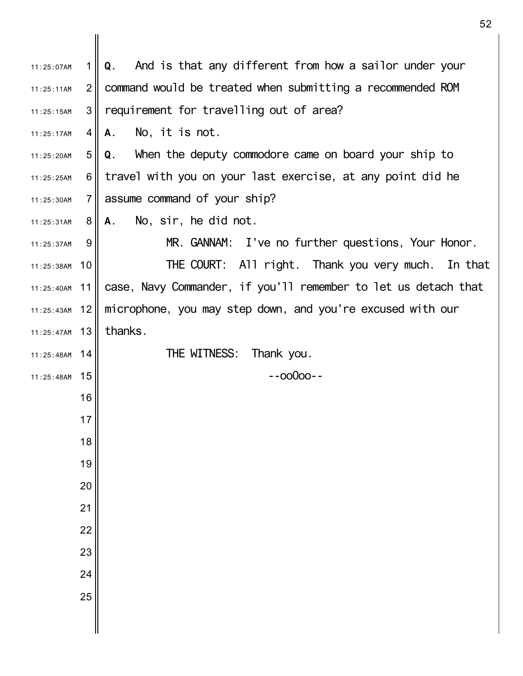| 11:25:07AM      | 1 <sup>1</sup> | Q. And is that any different from how a sailor under your                       |
|-----------------|----------------|---------------------------------------------------------------------------------|
| 11:25:11AM      | $\overline{2}$ | command would be treated when submitting a recommended ROM                      |
| 11:25:15AM      | 3              | requirement for travelling out of area?                                         |
| 11:25:17AM      | 4 II           | No, it is not.<br>A.                                                            |
| 11:25:20AM      | 5 <sub>1</sub> | Q. When the deputy commodore came on board your ship to                         |
| 11:25:25AM      | 6              | travel with you on your last exercise, at any point did he                      |
| 11:25:30AM      | 7 II           | assume command of your ship?                                                    |
| 11:25:31AM      | 8 <sup>1</sup> | No, sir, he did not.<br>A.                                                      |
| 11:25:37AM      | 9              | MR. GANNAM: I've no further questions, Your Honor.                              |
| 11:25:38AM      | 10 II          | THE COURT: All right. Thank you very much. In that                              |
|                 |                | $11:25:40$ AM 11 case, Navy Commander, if you'll remember to let us detach that |
| 11:25:43AM 12   |                | microphone, you may step down, and you're excused with our                      |
| $11:25:47AM$ 13 |                | thanks.                                                                         |
| 11:25:48AM 14   |                | THE WITNESS: Thank you.                                                         |
| 11:25:48AM      | 15             | $-00000 -$                                                                      |
|                 | 16             |                                                                                 |
|                 | 17             |                                                                                 |
|                 | 18             |                                                                                 |
|                 | 19             |                                                                                 |
|                 | 20             |                                                                                 |
|                 | 21             |                                                                                 |
|                 | 22             |                                                                                 |
|                 | 23             |                                                                                 |
|                 | 24             |                                                                                 |
|                 | 25             |                                                                                 |
|                 |                |                                                                                 |